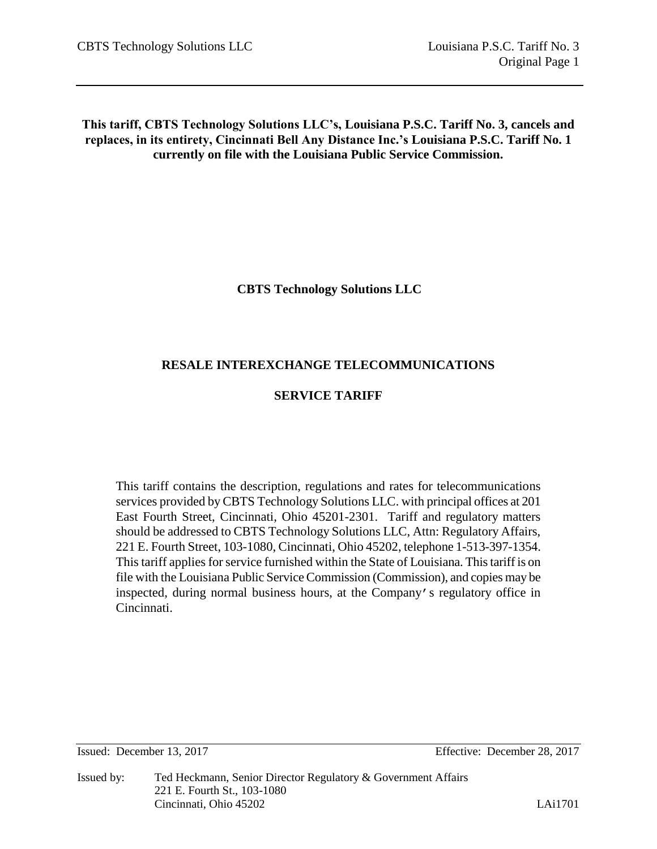**This tariff, CBTS Technology Solutions LLC's, Louisiana P.S.C. Tariff No. 3, cancels and replaces, in its entirety, Cincinnati Bell Any Distance Inc.'s Louisiana P.S.C. Tariff No. 1 currently on file with the Louisiana Public Service Commission.**

**CBTS Technology Solutions LLC**

# **RESALE INTEREXCHANGE TELECOMMUNICATIONS**

# **SERVICE TARIFF**

This tariff contains the description, regulations and rates for telecommunications services provided by CBTS Technology Solutions LLC. with principal offices at 201 East Fourth Street, Cincinnati, Ohio 45201-2301. Tariff and regulatory matters should be addressed to CBTS Technology Solutions LLC, Attn: Regulatory Affairs, 221 E. Fourth Street, 103-1080, Cincinnati, Ohio 45202, telephone 1-513-397-1354. This tariff applies for service furnished within the State of Louisiana. This tariff is on file with the Louisiana Public Service Commission (Commission), and copies may be inspected, during normal business hours, at the Company's regulatory office in Cincinnati.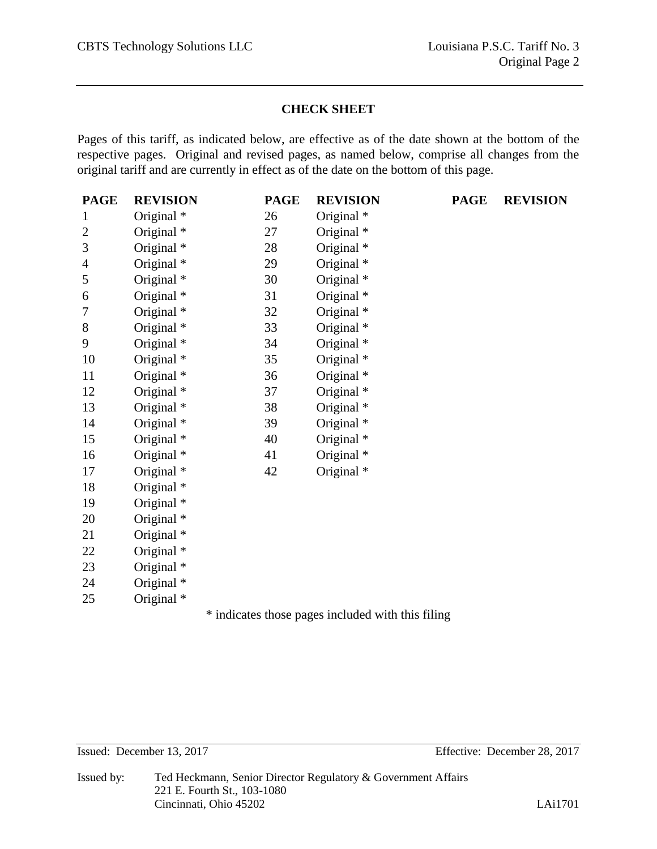## **CHECK SHEET**

Pages of this tariff, as indicated below, are effective as of the date shown at the bottom of the respective pages. Original and revised pages, as named below, comprise all changes from the original tariff and are currently in effect as of the date on the bottom of this page.

| <b>PAGE</b>  | <b>REVISION</b>                                   | <b>PAGE</b> | <b>REVISION</b> | <b>PAGE</b> | <b>REVISION</b> |
|--------------|---------------------------------------------------|-------------|-----------------|-------------|-----------------|
| $\mathbf{1}$ | Original *                                        | 26          | Original *      |             |                 |
| $\mathbf{2}$ | Original *                                        | 27          | Original $*$    |             |                 |
| 3            | Original $*$                                      | 28          | Original $*$    |             |                 |
| 4            | Original *                                        | 29          | Original *      |             |                 |
| 5            | Original $*$                                      | 30          | Original *      |             |                 |
| 6            | Original $*$                                      | 31          | Original *      |             |                 |
| 7            | Original *                                        | 32          | Original $*$    |             |                 |
| 8            | Original $*$                                      | 33          | Original $*$    |             |                 |
| 9            | Original *                                        | 34          | Original *      |             |                 |
| 10           | Original $*$                                      | 35          | Original *      |             |                 |
| 11           | Original $*$                                      | 36          | Original $*$    |             |                 |
| 12           | Original *                                        | 37          | Original *      |             |                 |
| 13           | Original *                                        | 38          | Original *      |             |                 |
| 14           | Original $*$                                      | 39          | Original *      |             |                 |
| 15           | Original $*$                                      | 40          | Original *      |             |                 |
| 16           | Original $*$                                      | 41          | Original *      |             |                 |
| 17           | Original *                                        | 42          | Original *      |             |                 |
| 18           | Original $*$                                      |             |                 |             |                 |
| 19           | Original *                                        |             |                 |             |                 |
| 20           | Original *                                        |             |                 |             |                 |
| 21           | Original *                                        |             |                 |             |                 |
| 22           | Original *                                        |             |                 |             |                 |
| 23           | Original $*$                                      |             |                 |             |                 |
| 24           | Original *                                        |             |                 |             |                 |
| 25           | Original *                                        |             |                 |             |                 |
|              | * indicates those pages included with this filing |             |                 |             |                 |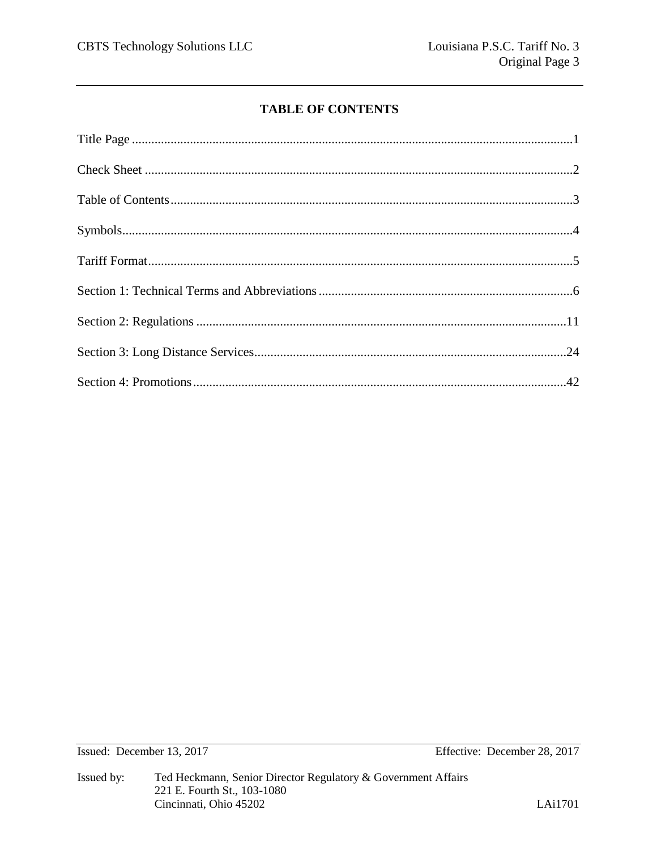# **TABLE OF CONTENTS**

Issued: December 13, 2017

Effective: December 28, 2017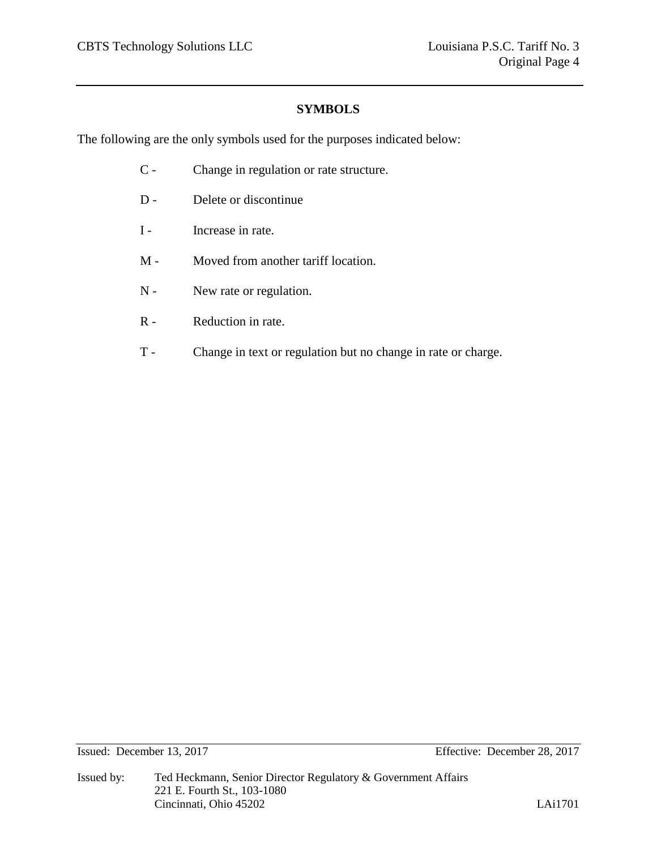# **SYMBOLS**

The following are the only symbols used for the purposes indicated below:

- C Change in regulation or rate structure.
- D Delete or discontinue
- I Increase in rate.
- M Moved from another tariff location.
- N New rate or regulation.
- R Reduction in rate.
- T Change in text or regulation but no change in rate or charge.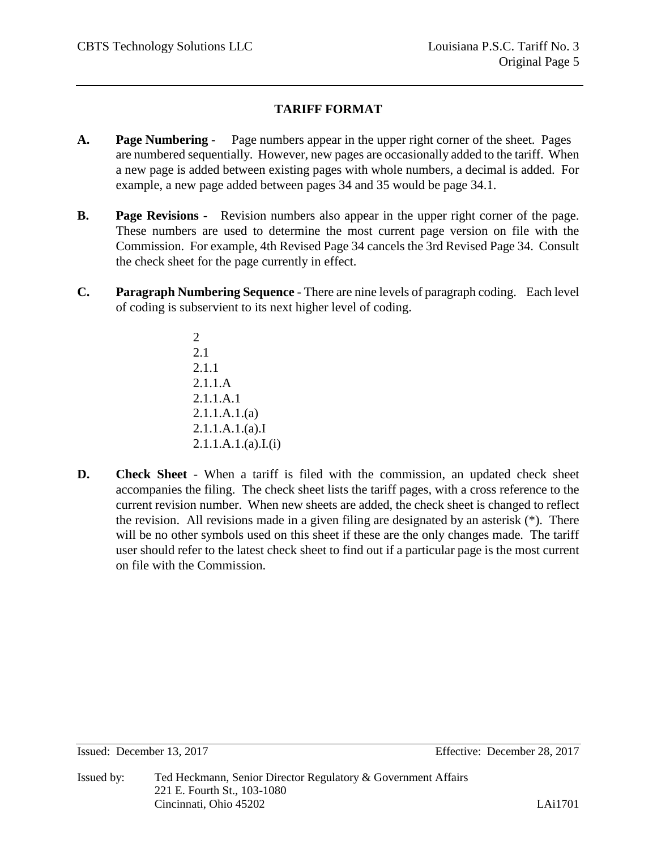# **TARIFF FORMAT**

- **A. Page Numbering** Page numbers appear in the upper right corner of the sheet. Pages are numbered sequentially. However, new pages are occasionally added to the tariff. When a new page is added between existing pages with whole numbers, a decimal is added. For example, a new page added between pages 34 and 35 would be page 34.1.
- **B. Page Revisions** Revision numbers also appear in the upper right corner of the page. These numbers are used to determine the most current page version on file with the Commission. For example, 4th Revised Page 34 cancels the 3rd Revised Page 34. Consult the check sheet for the page currently in effect.
- **C. Paragraph Numbering Sequence** There are nine levels of paragraph coding. Each level of coding is subservient to its next higher level of coding.
	- 2 2.1 2.1.1 2.1.1.A 2.1.1.A.1 2.1.1.A.1.(a) 2.1.1.A.1.(a).I  $2.1.1.A.1.(a).I.(i)$
- **D. Check Sheet** When a tariff is filed with the commission, an updated check sheet accompanies the filing. The check sheet lists the tariff pages, with a cross reference to the current revision number. When new sheets are added, the check sheet is changed to reflect the revision. All revisions made in a given filing are designated by an asterisk (\*). There will be no other symbols used on this sheet if these are the only changes made. The tariff user should refer to the latest check sheet to find out if a particular page is the most current on file with the Commission.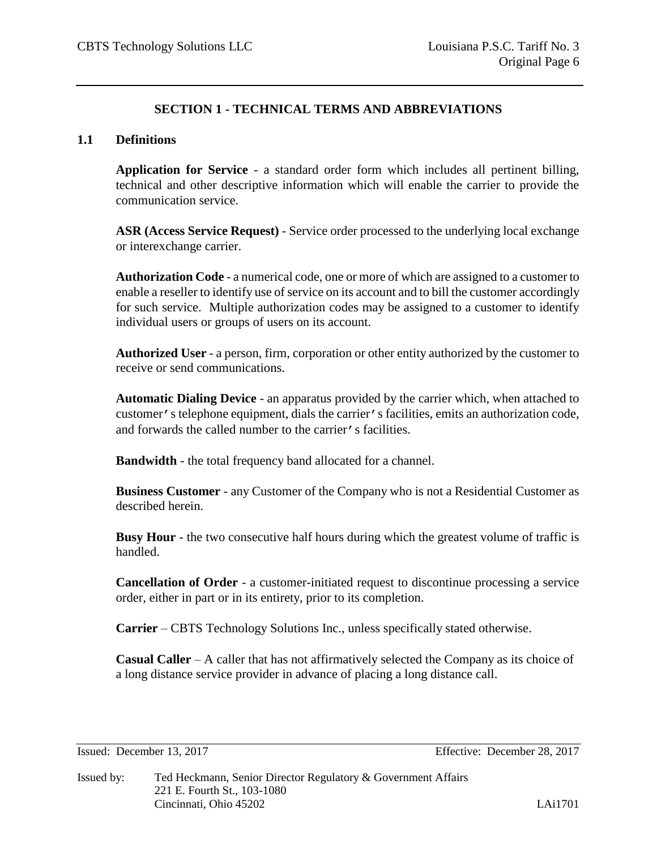# **SECTION 1 - TECHNICAL TERMS AND ABBREVIATIONS**

## **1.1 Definitions**

**Application for Service** - a standard order form which includes all pertinent billing, technical and other descriptive information which will enable the carrier to provide the communication service.

**ASR (Access Service Request)** - Service order processed to the underlying local exchange or interexchange carrier.

**Authorization Code** - a numerical code, one or more of which are assigned to a customer to enable a reseller to identify use of service on its account and to bill the customer accordingly for such service. Multiple authorization codes may be assigned to a customer to identify individual users or groups of users on its account.

**Authorized User** - a person, firm, corporation or other entity authorized by the customer to receive or send communications.

**Automatic Dialing Device** - an apparatus provided by the carrier which, when attached to customer's telephone equipment, dials the carrier's facilities, emits an authorization code, and forwards the called number to the carrier's facilities.

**Bandwidth** - the total frequency band allocated for a channel.

**Business Customer** - any Customer of the Company who is not a Residential Customer as described herein.

**Busy Hour** - the two consecutive half hours during which the greatest volume of traffic is handled.

**Cancellation of Order** - a customer-initiated request to discontinue processing a service order, either in part or in its entirety, prior to its completion.

**Carrier** – CBTS Technology Solutions Inc., unless specifically stated otherwise.

**Casual Caller** – A caller that has not affirmatively selected the Company as its choice of a long distance service provider in advance of placing a long distance call.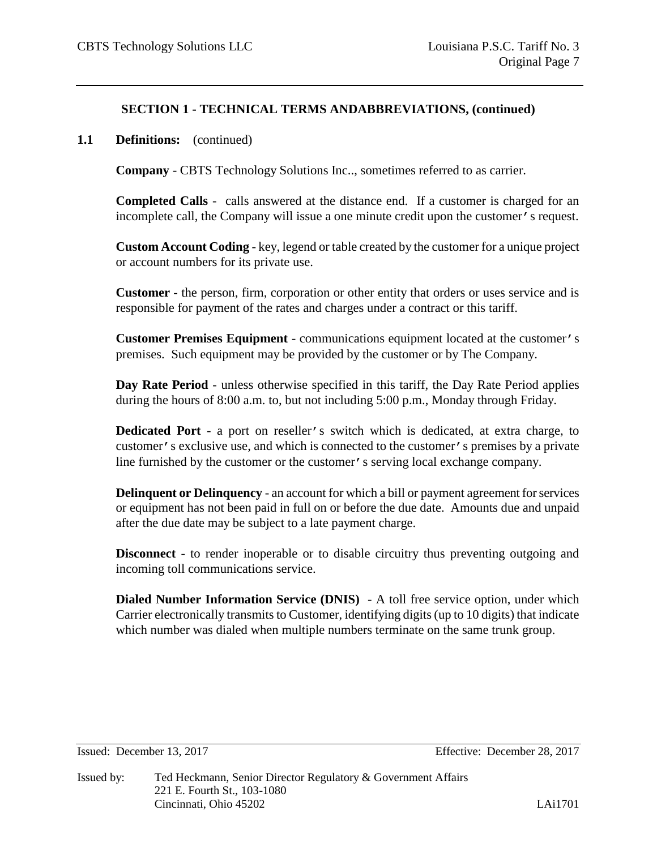## **SECTION 1 - TECHNICAL TERMS ANDABBREVIATIONS, (continued)**

#### **1.1 Definitions:** (continued)

**Company** - CBTS Technology Solutions Inc.., sometimes referred to as carrier.

**Completed Calls** - calls answered at the distance end. If a customer is charged for an incomplete call, the Company will issue a one minute credit upon the customer's request.

**Custom Account Coding** - key, legend or table created by the customer for a unique project or account numbers for its private use.

**Customer** - the person, firm, corporation or other entity that orders or uses service and is responsible for payment of the rates and charges under a contract or this tariff.

**Customer Premises Equipment** - communications equipment located at the customer's premises. Such equipment may be provided by the customer or by The Company.

**Day Rate Period** - unless otherwise specified in this tariff, the Day Rate Period applies during the hours of 8:00 a.m. to, but not including 5:00 p.m., Monday through Friday.

**Dedicated Port** - a port on reseller's switch which is dedicated, at extra charge, to customer's exclusive use, and which is connected to the customer's premises by a private line furnished by the customer or the customer's serving local exchange company.

**Delinquent or Delinquency** - an account for which a bill or payment agreement for services or equipment has not been paid in full on or before the due date. Amounts due and unpaid after the due date may be subject to a late payment charge.

**Disconnect** - to render inoperable or to disable circuitry thus preventing outgoing and incoming toll communications service.

**Dialed Number Information Service (DNIS)** - A toll free service option, under which Carrier electronically transmits to Customer, identifying digits (up to 10 digits) that indicate which number was dialed when multiple numbers terminate on the same trunk group.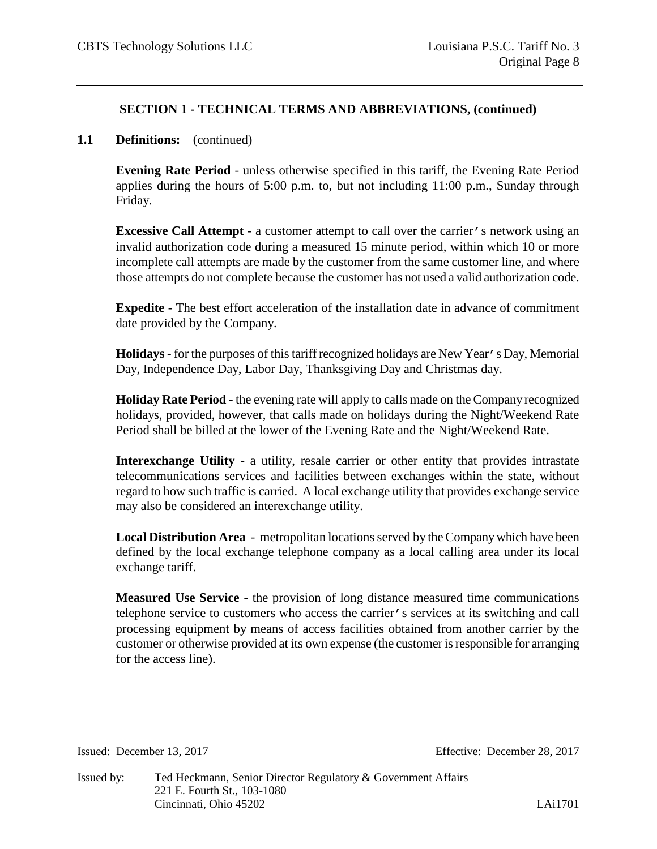## **SECTION 1 - TECHNICAL TERMS AND ABBREVIATIONS, (continued)**

## **1.1 Definitions:** (continued)

**Evening Rate Period** - unless otherwise specified in this tariff, the Evening Rate Period applies during the hours of  $5:00$  p.m. to, but not including  $11:00$  p.m., Sunday through Friday.

**Excessive Call Attempt** - a customer attempt to call over the carrier's network using an invalid authorization code during a measured 15 minute period, within which 10 or more incomplete call attempts are made by the customer from the same customer line, and where those attempts do not complete because the customer has not used a valid authorization code.

**Expedite** - The best effort acceleration of the installation date in advance of commitment date provided by the Company.

**Holidays**- for the purposes of this tariff recognized holidays are New Year's Day, Memorial Day, Independence Day, Labor Day, Thanksgiving Day and Christmas day.

**Holiday Rate Period** - the evening rate will apply to calls made on the Company recognized holidays, provided, however, that calls made on holidays during the Night/Weekend Rate Period shall be billed at the lower of the Evening Rate and the Night/Weekend Rate.

**Interexchange Utility** - a utility, resale carrier or other entity that provides intrastate telecommunications services and facilities between exchanges within the state, without regard to how such traffic is carried. A local exchange utility that provides exchange service may also be considered an interexchange utility.

**Local Distribution Area** - metropolitan locations served by the Company which have been defined by the local exchange telephone company as a local calling area under its local exchange tariff.

**Measured Use Service** - the provision of long distance measured time communications telephone service to customers who access the carrier's services at its switching and call processing equipment by means of access facilities obtained from another carrier by the customer or otherwise provided at its own expense (the customer is responsible for arranging for the access line).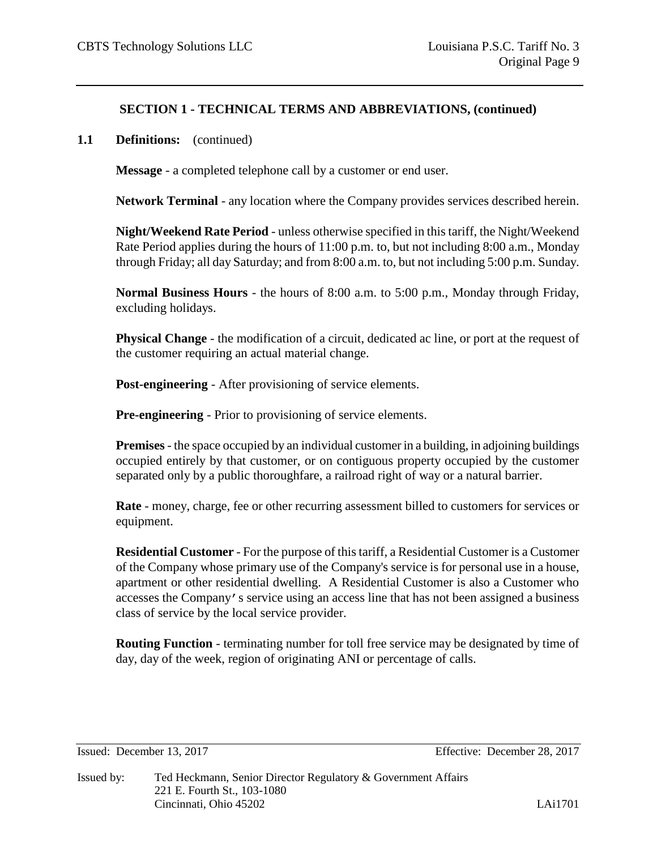## **SECTION 1 - TECHNICAL TERMS AND ABBREVIATIONS, (continued)**

#### **1.1 Definitions:** (continued)

**Message** - a completed telephone call by a customer or end user.

**Network Terminal** - any location where the Company provides services described herein.

**Night/Weekend Rate Period** - unless otherwise specified in this tariff, the Night/Weekend Rate Period applies during the hours of 11:00 p.m. to, but not including 8:00 a.m., Monday through Friday; all day Saturday; and from 8:00 a.m. to, but not including 5:00 p.m. Sunday.

**Normal Business Hours** - the hours of 8:00 a.m. to 5:00 p.m., Monday through Friday, excluding holidays.

**Physical Change** - the modification of a circuit, dedicated ac line, or port at the request of the customer requiring an actual material change.

**Post-engineering** - After provisioning of service elements.

**Pre-engineering** - Prior to provisioning of service elements.

**Premises**- the space occupied by an individual customer in a building, in adjoining buildings occupied entirely by that customer, or on contiguous property occupied by the customer separated only by a public thoroughfare, a railroad right of way or a natural barrier.

**Rate** - money, charge, fee or other recurring assessment billed to customers for services or equipment.

**Residential Customer** - For the purpose of this tariff, a Residential Customer is a Customer of the Company whose primary use of the Company's service is for personal use in a house, apartment or other residential dwelling. A Residential Customer is also a Customer who accesses the Company's service using an access line that has not been assigned a business class of service by the local service provider.

**Routing Function** - terminating number for toll free service may be designated by time of day, day of the week, region of originating ANI or percentage of calls.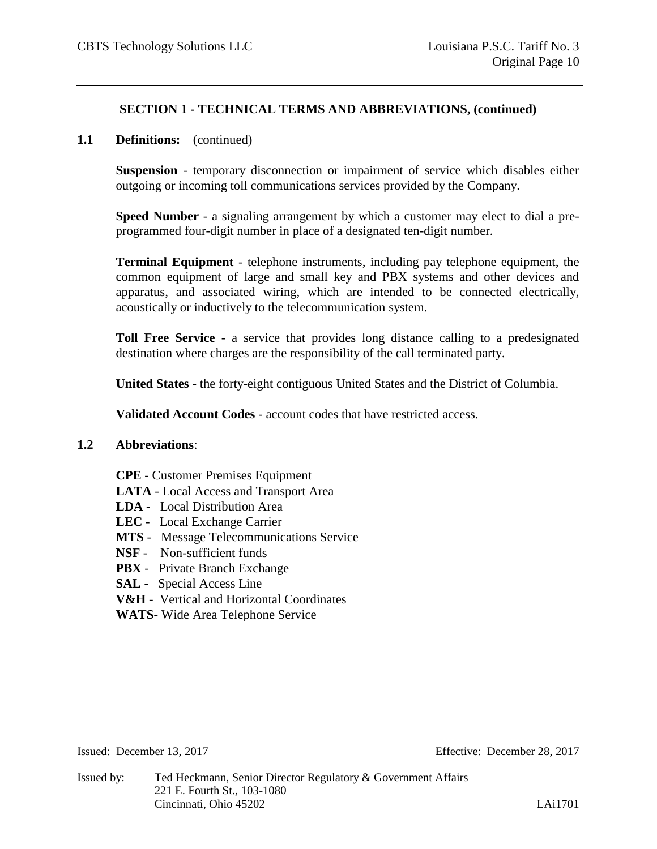## **SECTION 1 - TECHNICAL TERMS AND ABBREVIATIONS, (continued)**

#### **1.1 Definitions:** (continued)

**Suspension** - temporary disconnection or impairment of service which disables either outgoing or incoming toll communications services provided by the Company.

**Speed Number** - a signaling arrangement by which a customer may elect to dial a preprogrammed four-digit number in place of a designated ten-digit number.

**Terminal Equipment** - telephone instruments, including pay telephone equipment, the common equipment of large and small key and PBX systems and other devices and apparatus, and associated wiring, which are intended to be connected electrically, acoustically or inductively to the telecommunication system.

**Toll Free Service** - a service that provides long distance calling to a predesignated destination where charges are the responsibility of the call terminated party.

**United States** - the forty-eight contiguous United States and the District of Columbia.

**Validated Account Codes** - account codes that have restricted access.

#### **1.2 Abbreviations**:

- **CPE** Customer Premises Equipment
- **LATA** Local Access and Transport Area
- **LDA** Local Distribution Area
- **LEC** Local Exchange Carrier
- **MTS** Message Telecommunications Service
- **NSF** Non-sufficient funds
- **PBX** Private Branch Exchange
- **SAL** Special Access Line
- **V&H** Vertical and Horizontal Coordinates
- **WATS** Wide Area Telephone Service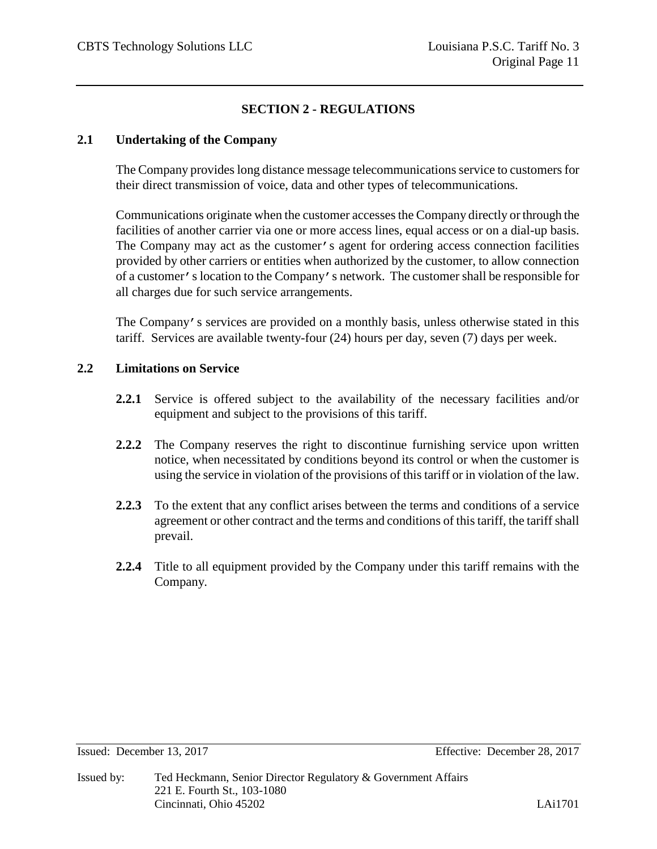# **SECTION 2 - REGULATIONS**

## **2.1 Undertaking of the Company**

The Company provides long distance message telecommunications service to customers for their direct transmission of voice, data and other types of telecommunications.

Communications originate when the customer accesses the Company directly or through the facilities of another carrier via one or more access lines, equal access or on a dial-up basis. The Company may act as the customer's agent for ordering access connection facilities provided by other carriers or entities when authorized by the customer, to allow connection of a customer's location to the Company's network. The customer shall be responsible for all charges due for such service arrangements.

The Company's services are provided on a monthly basis, unless otherwise stated in this tariff. Services are available twenty-four (24) hours per day, seven (7) days per week.

#### **2.2 Limitations on Service**

- **2.2.1** Service is offered subject to the availability of the necessary facilities and/or equipment and subject to the provisions of this tariff.
- **2.2.2** The Company reserves the right to discontinue furnishing service upon written notice, when necessitated by conditions beyond its control or when the customer is using the service in violation of the provisions of this tariff or in violation of the law.
- **2.2.3** To the extent that any conflict arises between the terms and conditions of a service agreement or other contract and the terms and conditions of this tariff, the tariff shall prevail.
- **2.2.4** Title to all equipment provided by the Company under this tariff remains with the Company.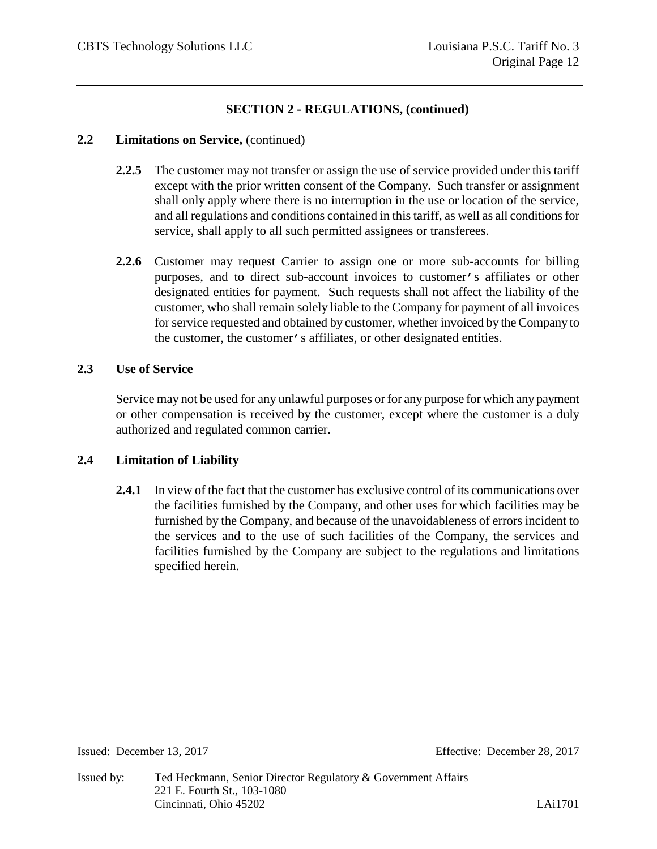## **2.2 Limitations on Service,** (continued)

- **2.2.5** The customer may not transfer or assign the use of service provided under this tariff except with the prior written consent of the Company. Such transfer or assignment shall only apply where there is no interruption in the use or location of the service, and all regulations and conditions contained in this tariff, as well as all conditions for service, shall apply to all such permitted assignees or transferees.
- **2.2.6** Customer may request Carrier to assign one or more sub-accounts for billing purposes, and to direct sub-account invoices to customer's affiliates or other designated entities for payment. Such requests shall not affect the liability of the customer, who shall remain solely liable to the Company for payment of all invoices for service requested and obtained by customer, whether invoiced by the Company to the customer, the customer's affiliates, or other designated entities.

## **2.3 Use of Service**

Service may not be used for any unlawful purposes or for any purpose for which any payment or other compensation is received by the customer, except where the customer is a duly authorized and regulated common carrier.

# **2.4 Limitation of Liability**

**2.4.1** In view of the fact that the customer has exclusive control of its communications over the facilities furnished by the Company, and other uses for which facilities may be furnished by the Company, and because of the unavoidableness of errors incident to the services and to the use of such facilities of the Company, the services and facilities furnished by the Company are subject to the regulations and limitations specified herein.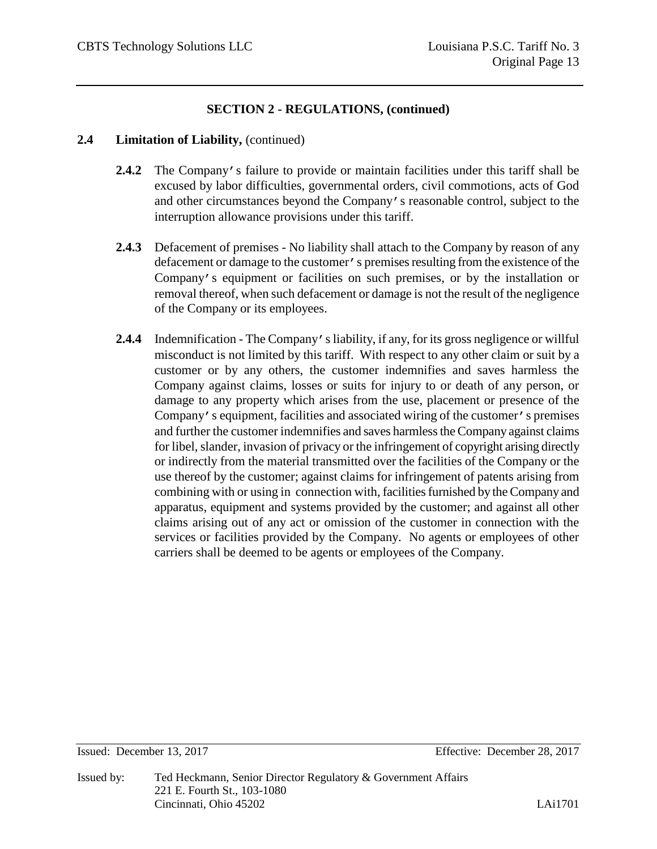## **2.4 Limitation of Liability,** (continued)

- **2.4.2** The Company's failure to provide or maintain facilities under this tariff shall be excused by labor difficulties, governmental orders, civil commotions, acts of God and other circumstances beyond the Company's reasonable control, subject to the interruption allowance provisions under this tariff.
- **2.4.3** Defacement of premises No liability shall attach to the Company by reason of any defacement or damage to the customer's premises resulting from the existence of the Company's equipment or facilities on such premises, or by the installation or removal thereof, when such defacement or damage is not the result of the negligence of the Company or its employees.
- **2.4.4** Indemnification The Company's liability, if any, for its gross negligence or willful misconduct is not limited by this tariff. With respect to any other claim or suit by a customer or by any others, the customer indemnifies and saves harmless the Company against claims, losses or suits for injury to or death of any person, or damage to any property which arises from the use, placement or presence of the Company's equipment, facilities and associated wiring of the customer's premises and further the customer indemnifies and saves harmless the Company against claims for libel, slander, invasion of privacy or the infringement of copyright arising directly or indirectly from the material transmitted over the facilities of the Company or the use thereof by the customer; against claims for infringement of patents arising from combining with or using in connection with, facilities furnished by the Company and apparatus, equipment and systems provided by the customer; and against all other claims arising out of any act or omission of the customer in connection with the services or facilities provided by the Company. No agents or employees of other carriers shall be deemed to be agents or employees of the Company.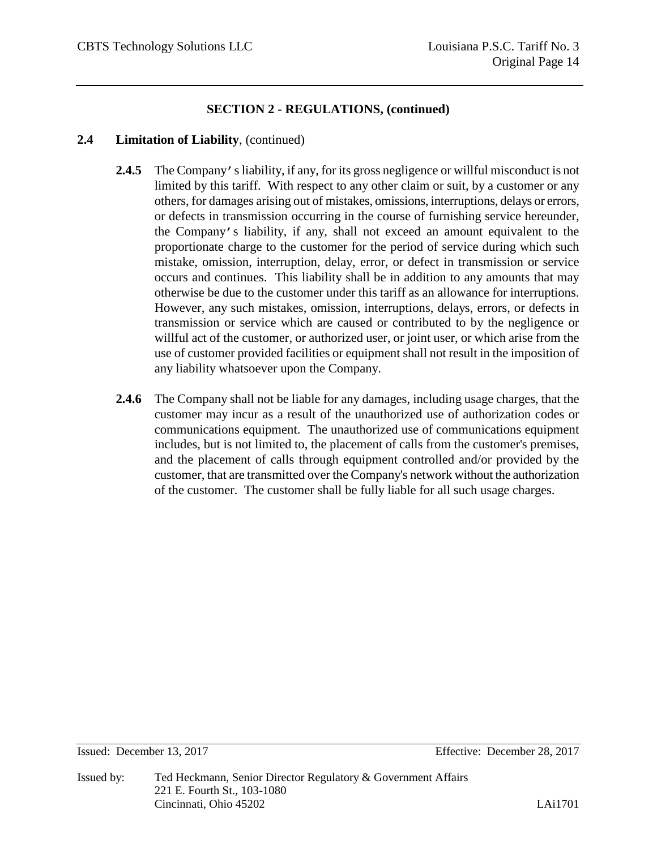## **2.4 Limitation of Liability**, (continued)

- **2.4.5** The Company's liability, if any, for its gross negligence or willful misconduct is not limited by this tariff. With respect to any other claim or suit, by a customer or any others, for damages arising out of mistakes, omissions, interruptions, delays or errors, or defects in transmission occurring in the course of furnishing service hereunder, the Company's liability, if any, shall not exceed an amount equivalent to the proportionate charge to the customer for the period of service during which such mistake, omission, interruption, delay, error, or defect in transmission or service occurs and continues. This liability shall be in addition to any amounts that may otherwise be due to the customer under this tariff as an allowance for interruptions. However, any such mistakes, omission, interruptions, delays, errors, or defects in transmission or service which are caused or contributed to by the negligence or willful act of the customer, or authorized user, or joint user, or which arise from the use of customer provided facilities or equipment shall not result in the imposition of any liability whatsoever upon the Company.
- **2.4.6** The Company shall not be liable for any damages, including usage charges, that the customer may incur as a result of the unauthorized use of authorization codes or communications equipment. The unauthorized use of communications equipment includes, but is not limited to, the placement of calls from the customer's premises, and the placement of calls through equipment controlled and/or provided by the customer, that are transmitted over the Company's network without the authorization of the customer. The customer shall be fully liable for all such usage charges.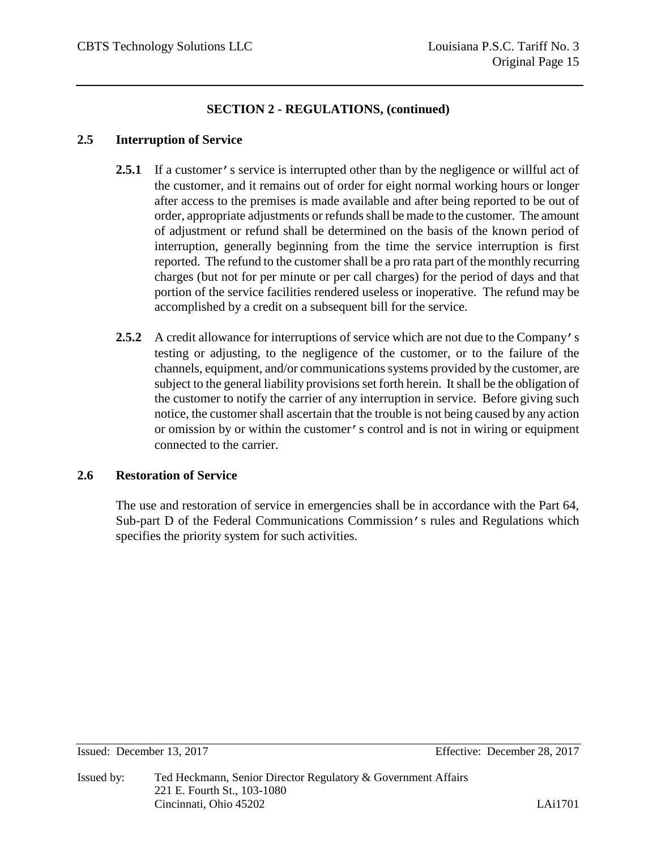## **2.5 Interruption of Service**

- **2.5.1** If a customer's service is interrupted other than by the negligence or willful act of the customer, and it remains out of order for eight normal working hours or longer after access to the premises is made available and after being reported to be out of order, appropriate adjustments or refunds shall be made to the customer. The amount of adjustment or refund shall be determined on the basis of the known period of interruption, generally beginning from the time the service interruption is first reported. The refund to the customer shall be a pro rata part of the monthly recurring charges (but not for per minute or per call charges) for the period of days and that portion of the service facilities rendered useless or inoperative. The refund may be accomplished by a credit on a subsequent bill for the service.
- **2.5.2** A credit allowance for interruptions of service which are not due to the Company's testing or adjusting, to the negligence of the customer, or to the failure of the channels, equipment, and/or communications systems provided by the customer, are subject to the general liability provisions set forth herein. It shall be the obligation of the customer to notify the carrier of any interruption in service. Before giving such notice, the customer shall ascertain that the trouble is not being caused by any action or omission by or within the customer's control and is not in wiring or equipment connected to the carrier.

## **2.6 Restoration of Service**

The use and restoration of service in emergencies shall be in accordance with the Part 64, Sub-part D of the Federal Communications Commission's rules and Regulations which specifies the priority system for such activities.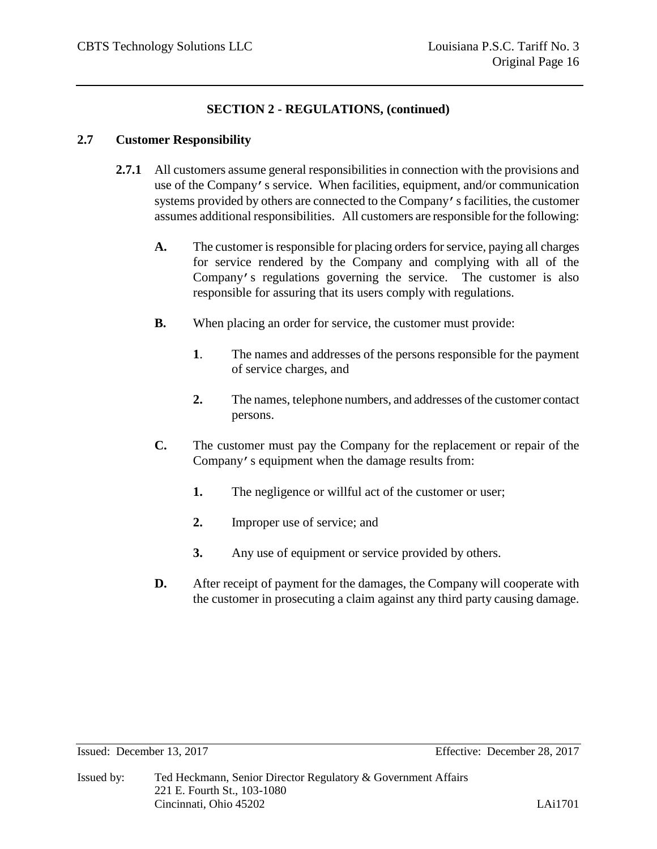## **2.7 Customer Responsibility**

- **2.7.1** All customers assume general responsibilities in connection with the provisions and use of the Company's service. When facilities, equipment, and/or communication systems provided by others are connected to the Company's facilities, the customer assumes additional responsibilities. All customers are responsible for the following:
	- **A.** The customer is responsible for placing orders for service, paying all charges for service rendered by the Company and complying with all of the Company's regulations governing the service. The customer is also responsible for assuring that its users comply with regulations.
	- **B.** When placing an order for service, the customer must provide:
		- **1**. The names and addresses of the persons responsible for the payment of service charges, and
		- **2.** The names, telephone numbers, and addresses of the customer contact persons.
	- **C.** The customer must pay the Company for the replacement or repair of the Company's equipment when the damage results from:
		- **1.** The negligence or willful act of the customer or user;
		- **2.** Improper use of service; and
		- **3.** Any use of equipment or service provided by others.
	- **D.** After receipt of payment for the damages, the Company will cooperate with the customer in prosecuting a claim against any third party causing damage.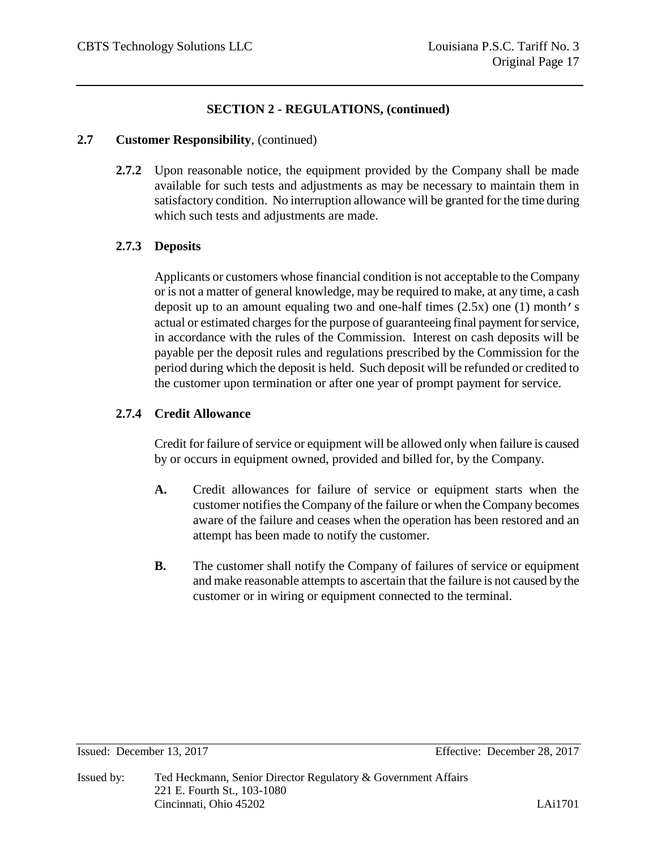#### **2.7 Customer Responsibility**, (continued)

**2.7.2** Upon reasonable notice, the equipment provided by the Company shall be made available for such tests and adjustments as may be necessary to maintain them in satisfactory condition. No interruption allowance will be granted for the time during which such tests and adjustments are made.

## **2.7.3 Deposits**

Applicants or customers whose financial condition is not acceptable to the Company or is not a matter of general knowledge, may be required to make, at any time, a cash deposit up to an amount equaling two and one-half times  $(2.5x)$  one  $(1)$  month's actual or estimated charges for the purpose of guaranteeing final payment for service, in accordance with the rules of the Commission. Interest on cash deposits will be payable per the deposit rules and regulations prescribed by the Commission for the period during which the deposit is held. Such deposit will be refunded or credited to the customer upon termination or after one year of prompt payment for service.

## **2.7.4 Credit Allowance**

Credit for failure of service or equipment will be allowed only when failure is caused by or occurs in equipment owned, provided and billed for, by the Company.

- **A.** Credit allowances for failure of service or equipment starts when the customer notifies the Company of the failure or when the Company becomes aware of the failure and ceases when the operation has been restored and an attempt has been made to notify the customer.
- **B.** The customer shall notify the Company of failures of service or equipment and make reasonable attempts to ascertain that the failure is not caused by the customer or in wiring or equipment connected to the terminal.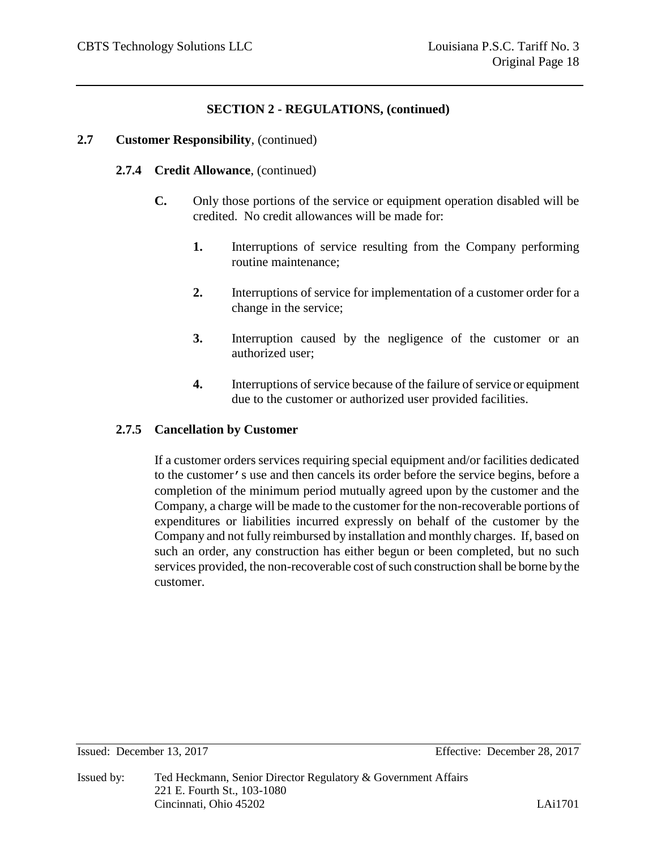## **2.7 Customer Responsibility**, (continued)

#### **2.7.4 Credit Allowance**, (continued)

- **C.** Only those portions of the service or equipment operation disabled will be credited. No credit allowances will be made for:
	- **1.** Interruptions of service resulting from the Company performing routine maintenance;
	- **2.** Interruptions of service for implementation of a customer order for a change in the service;
	- **3.** Interruption caused by the negligence of the customer or an authorized user;
	- **4.** Interruptions of service because of the failure of service or equipment due to the customer or authorized user provided facilities.

## **2.7.5 Cancellation by Customer**

If a customer orders services requiring special equipment and/or facilities dedicated to the customer's use and then cancels its order before the service begins, before a completion of the minimum period mutually agreed upon by the customer and the Company, a charge will be made to the customer for the non-recoverable portions of expenditures or liabilities incurred expressly on behalf of the customer by the Company and not fully reimbursed by installation and monthly charges. If, based on such an order, any construction has either begun or been completed, but no such services provided, the non-recoverable cost of such construction shall be borne by the customer.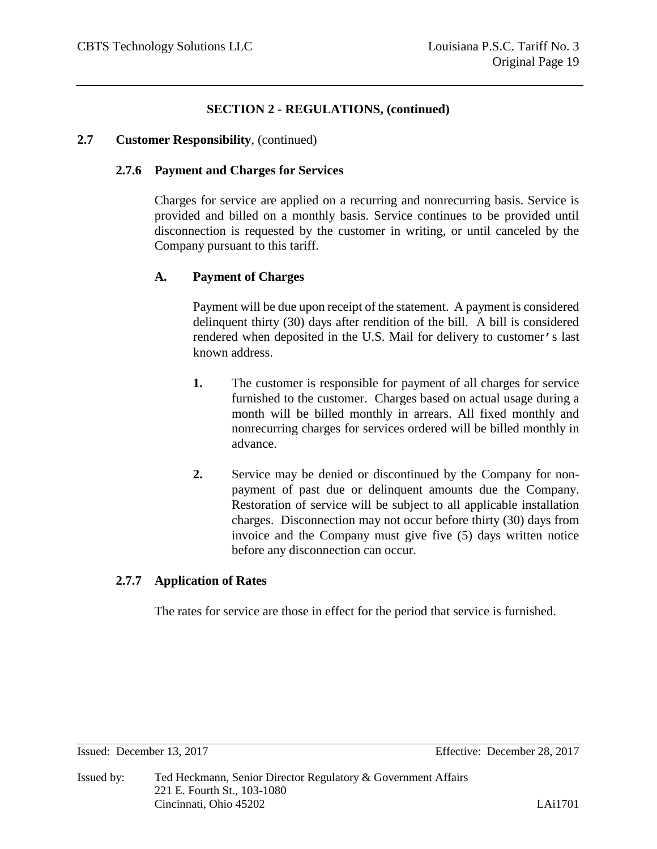## **2.7 Customer Responsibility**, (continued)

## **2.7.6 Payment and Charges for Services**

Charges for service are applied on a recurring and nonrecurring basis. Service is provided and billed on a monthly basis. Service continues to be provided until disconnection is requested by the customer in writing, or until canceled by the Company pursuant to this tariff.

# **A. Payment of Charges**

Payment will be due upon receipt of the statement. A payment is considered delinquent thirty (30) days after rendition of the bill. A bill is considered rendered when deposited in the U.S. Mail for delivery to customer's last known address.

- **1.** The customer is responsible for payment of all charges for service furnished to the customer. Charges based on actual usage during a month will be billed monthly in arrears. All fixed monthly and nonrecurring charges for services ordered will be billed monthly in advance.
- **2.** Service may be denied or discontinued by the Company for nonpayment of past due or delinquent amounts due the Company. Restoration of service will be subject to all applicable installation charges. Disconnection may not occur before thirty (30) days from invoice and the Company must give five (5) days written notice before any disconnection can occur.

# **2.7.7 Application of Rates**

The rates for service are those in effect for the period that service is furnished.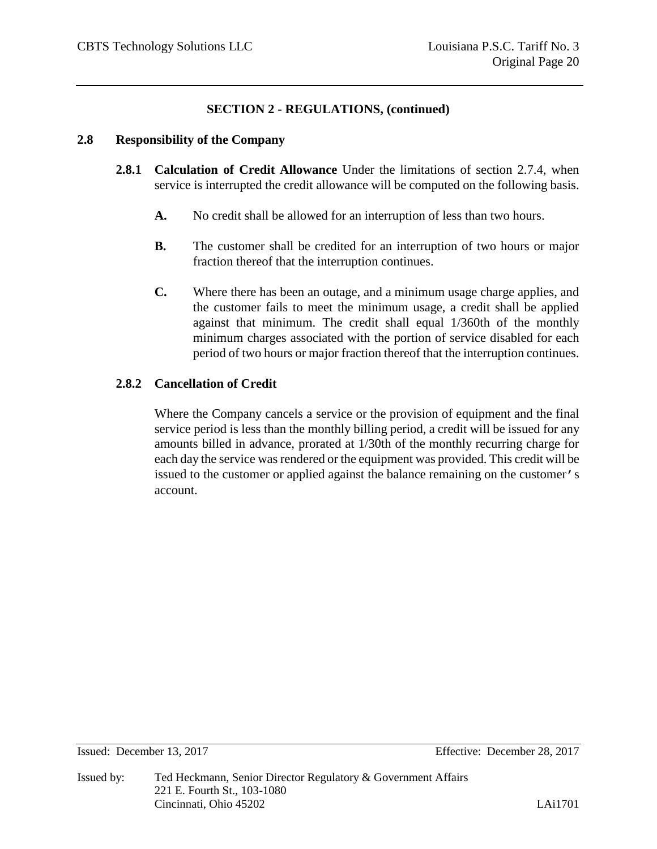## **2.8 Responsibility of the Company**

- **2.8.1 Calculation of Credit Allowance** Under the limitations of section 2.7.4, when service is interrupted the credit allowance will be computed on the following basis.
	- **A.** No credit shall be allowed for an interruption of less than two hours.
	- **B.** The customer shall be credited for an interruption of two hours or major fraction thereof that the interruption continues.
	- **C.** Where there has been an outage, and a minimum usage charge applies, and the customer fails to meet the minimum usage, a credit shall be applied against that minimum. The credit shall equal 1/360th of the monthly minimum charges associated with the portion of service disabled for each period of two hours or major fraction thereof that the interruption continues.

# **2.8.2 Cancellation of Credit**

Where the Company cancels a service or the provision of equipment and the final service period is less than the monthly billing period, a credit will be issued for any amounts billed in advance, prorated at 1/30th of the monthly recurring charge for each day the service was rendered or the equipment was provided. This credit will be issued to the customer or applied against the balance remaining on the customer's account.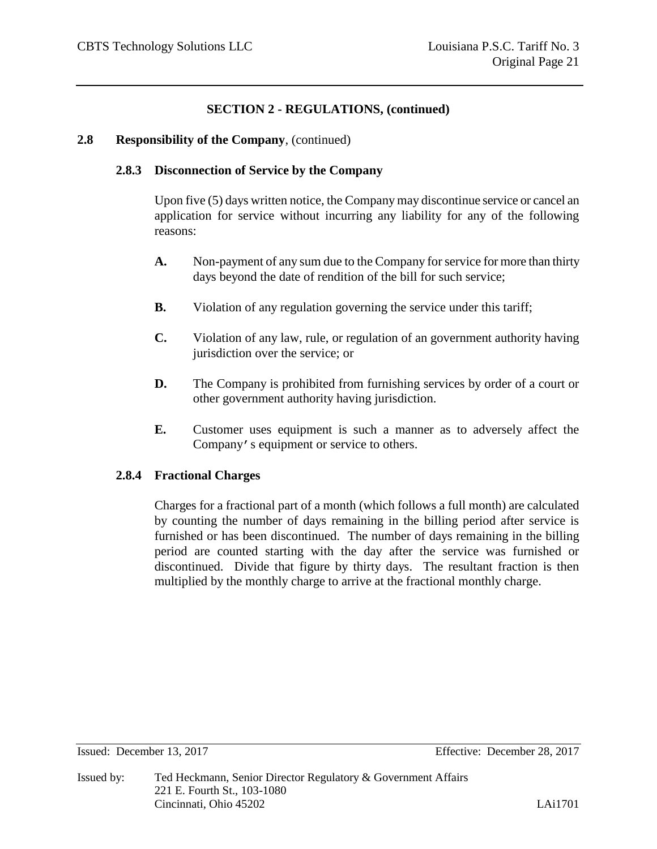#### **2.8 Responsibility of the Company**, (continued)

#### **2.8.3 Disconnection of Service by the Company**

Upon five (5) days written notice, the Company may discontinue service or cancel an application for service without incurring any liability for any of the following reasons:

- **A.** Non-payment of any sum due to the Company for service for more than thirty days beyond the date of rendition of the bill for such service;
- **B.** Violation of any regulation governing the service under this tariff;
- **C.** Violation of any law, rule, or regulation of an government authority having jurisdiction over the service; or
- **D.** The Company is prohibited from furnishing services by order of a court or other government authority having jurisdiction.
- **E.** Customer uses equipment is such a manner as to adversely affect the Company's equipment or service to others.

## **2.8.4 Fractional Charges**

Charges for a fractional part of a month (which follows a full month) are calculated by counting the number of days remaining in the billing period after service is furnished or has been discontinued. The number of days remaining in the billing period are counted starting with the day after the service was furnished or discontinued. Divide that figure by thirty days. The resultant fraction is then multiplied by the monthly charge to arrive at the fractional monthly charge.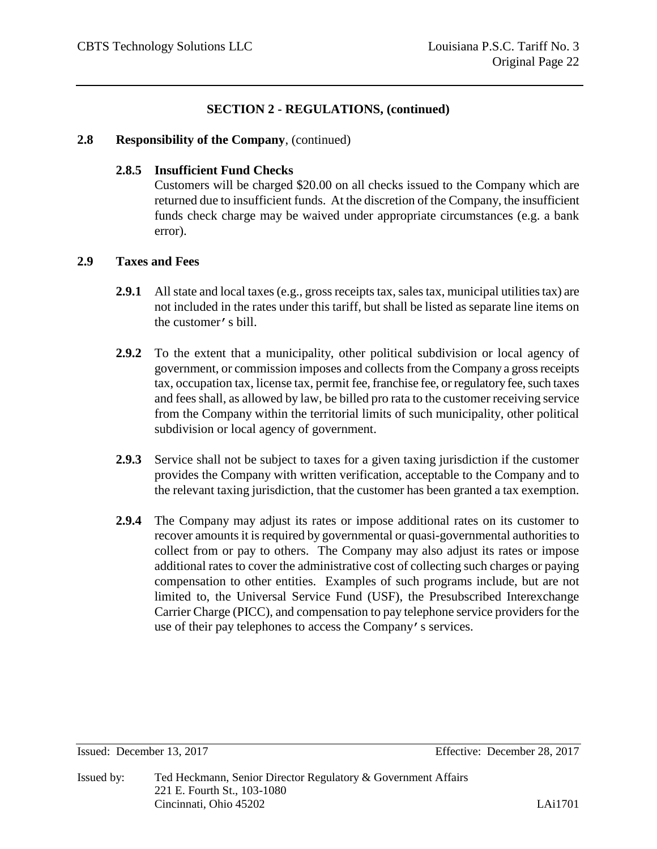#### **2.8 Responsibility of the Company**, (continued)

#### **2.8.5 Insufficient Fund Checks**

Customers will be charged \$20.00 on all checks issued to the Company which are returned due to insufficient funds. At the discretion of the Company, the insufficient funds check charge may be waived under appropriate circumstances (e.g. a bank error).

## **2.9 Taxes and Fees**

- 2.9.1 All state and local taxes (e.g., gross receipts tax, sales tax, municipal utilities tax) are not included in the rates under this tariff, but shall be listed as separate line items on the customer's bill.
- **2.9.2** To the extent that a municipality, other political subdivision or local agency of government, or commission imposes and collects from the Company a gross receipts tax, occupation tax, license tax, permit fee, franchise fee, or regulatory fee, such taxes and fees shall, as allowed by law, be billed pro rata to the customer receiving service from the Company within the territorial limits of such municipality, other political subdivision or local agency of government.
- **2.9.3** Service shall not be subject to taxes for a given taxing jurisdiction if the customer provides the Company with written verification, acceptable to the Company and to the relevant taxing jurisdiction, that the customer has been granted a tax exemption.
- **2.9.4** The Company may adjust its rates or impose additional rates on its customer to recover amounts it is required by governmental or quasi-governmental authorities to collect from or pay to others. The Company may also adjust its rates or impose additional rates to cover the administrative cost of collecting such charges or paying compensation to other entities. Examples of such programs include, but are not limited to, the Universal Service Fund (USF), the Presubscribed Interexchange Carrier Charge (PICC), and compensation to pay telephone service providers for the use of their pay telephones to access the Company's services.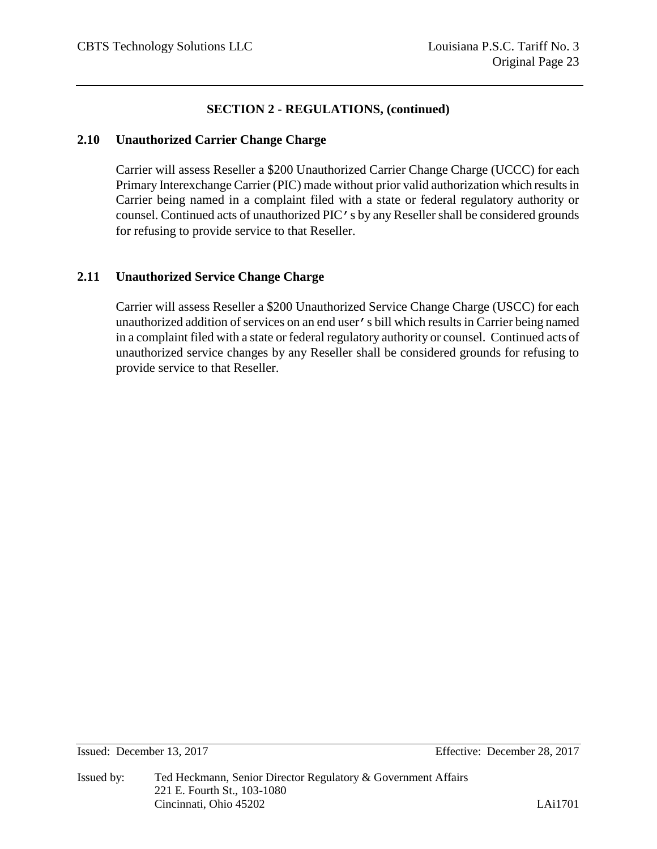## **2.10 Unauthorized Carrier Change Charge**

Carrier will assess Reseller a \$200 Unauthorized Carrier Change Charge (UCCC) for each Primary Interexchange Carrier (PIC) made without prior valid authorization which results in Carrier being named in a complaint filed with a state or federal regulatory authority or counsel. Continued acts of unauthorized PIC's by any Reseller shall be considered grounds for refusing to provide service to that Reseller.

## **2.11 Unauthorized Service Change Charge**

Carrier will assess Reseller a \$200 Unauthorized Service Change Charge (USCC) for each unauthorized addition of services on an end user's bill which results in Carrier being named in a complaint filed with a state or federal regulatory authority or counsel. Continued acts of unauthorized service changes by any Reseller shall be considered grounds for refusing to provide service to that Reseller.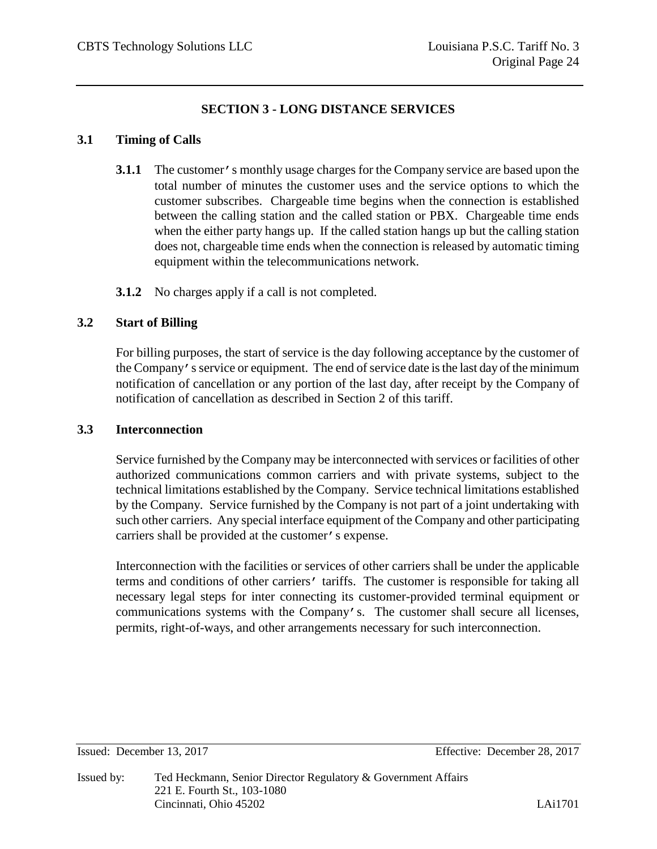# **SECTION 3 - LONG DISTANCE SERVICES**

## **3.1 Timing of Calls**

- **3.1.1** The customer's monthly usage charges for the Company service are based upon the total number of minutes the customer uses and the service options to which the customer subscribes. Chargeable time begins when the connection is established between the calling station and the called station or PBX. Chargeable time ends when the either party hangs up. If the called station hangs up but the calling station does not, chargeable time ends when the connection is released by automatic timing equipment within the telecommunications network.
- **3.1.2** No charges apply if a call is not completed.

## **3.2 Start of Billing**

For billing purposes, the start of service is the day following acceptance by the customer of the Company's service or equipment. The end of service date is the last day of the minimum notification of cancellation or any portion of the last day, after receipt by the Company of notification of cancellation as described in Section 2 of this tariff.

## **3.3 Interconnection**

Service furnished by the Company may be interconnected with services or facilities of other authorized communications common carriers and with private systems, subject to the technical limitations established by the Company. Service technical limitations established by the Company. Service furnished by the Company is not part of a joint undertaking with such other carriers. Any special interface equipment of the Company and other participating carriers shall be provided at the customer's expense.

Interconnection with the facilities or services of other carriers shall be under the applicable terms and conditions of other carriers' tariffs. The customer is responsible for taking all necessary legal steps for inter connecting its customer-provided terminal equipment or communications systems with the Company's. The customer shall secure all licenses, permits, right-of-ways, and other arrangements necessary for such interconnection.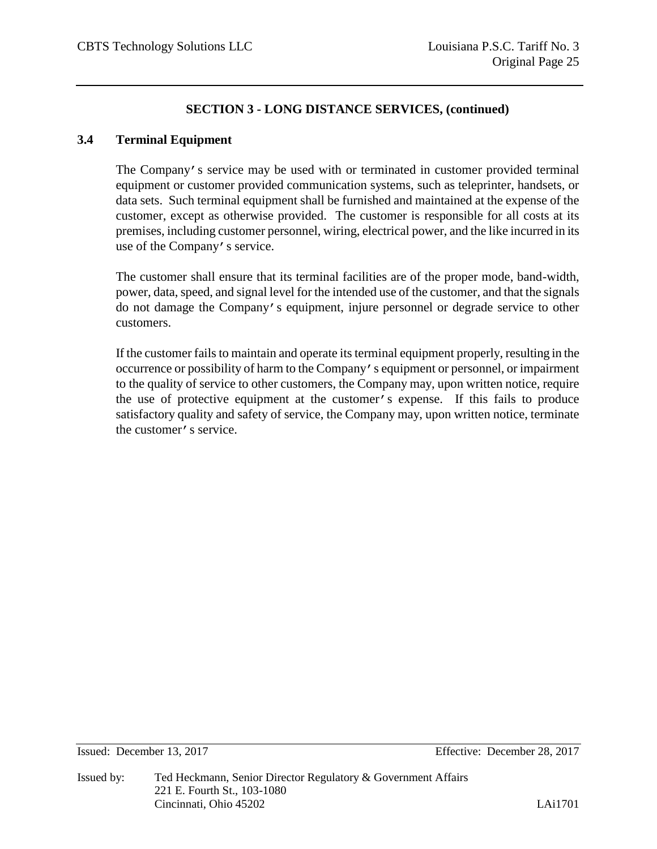## **3.4 Terminal Equipment**

The Company's service may be used with or terminated in customer provided terminal equipment or customer provided communication systems, such as teleprinter, handsets, or data sets. Such terminal equipment shall be furnished and maintained at the expense of the customer, except as otherwise provided. The customer is responsible for all costs at its premises, including customer personnel, wiring, electrical power, and the like incurred in its use of the Company's service.

The customer shall ensure that its terminal facilities are of the proper mode, band-width, power, data, speed, and signal level for the intended use of the customer, and that the signals do not damage the Company's equipment, injure personnel or degrade service to other customers.

If the customer fails to maintain and operate its terminal equipment properly, resulting in the occurrence or possibility of harm to the Company's equipment or personnel, or impairment to the quality of service to other customers, the Company may, upon written notice, require the use of protective equipment at the customer's expense. If this fails to produce satisfactory quality and safety of service, the Company may, upon written notice, terminate the customer's service.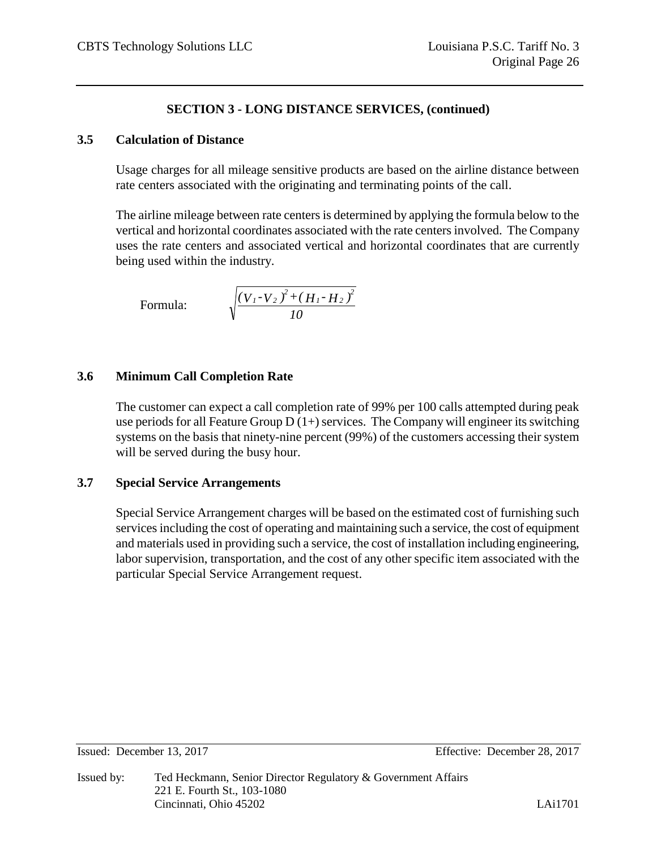## **3.5 Calculation of Distance**

Usage charges for all mileage sensitive products are based on the airline distance between rate centers associated with the originating and terminating points of the call.

The airline mileage between rate centers is determined by applying the formula below to the vertical and horizontal coordinates associated with the rate centers involved. The Company uses the rate centers and associated vertical and horizontal coordinates that are currently being used within the industry.

Formula:

$$
\sqrt{\frac{\left(V_{1}-V_{2}\right)^{2}+\left(H_{1}-H_{2}\right)^{2}}{10}}
$$

# **3.6 Minimum Call Completion Rate**

The customer can expect a call completion rate of 99% per 100 calls attempted during peak use periods for all Feature Group  $D(1+)$  services. The Company will engineer its switching systems on the basis that ninety-nine percent (99%) of the customers accessing their system will be served during the busy hour.

# **3.7 Special Service Arrangements**

Special Service Arrangement charges will be based on the estimated cost of furnishing such services including the cost of operating and maintaining such a service, the cost of equipment and materials used in providing such a service, the cost of installation including engineering, labor supervision, transportation, and the cost of any other specific item associated with the particular Special Service Arrangement request.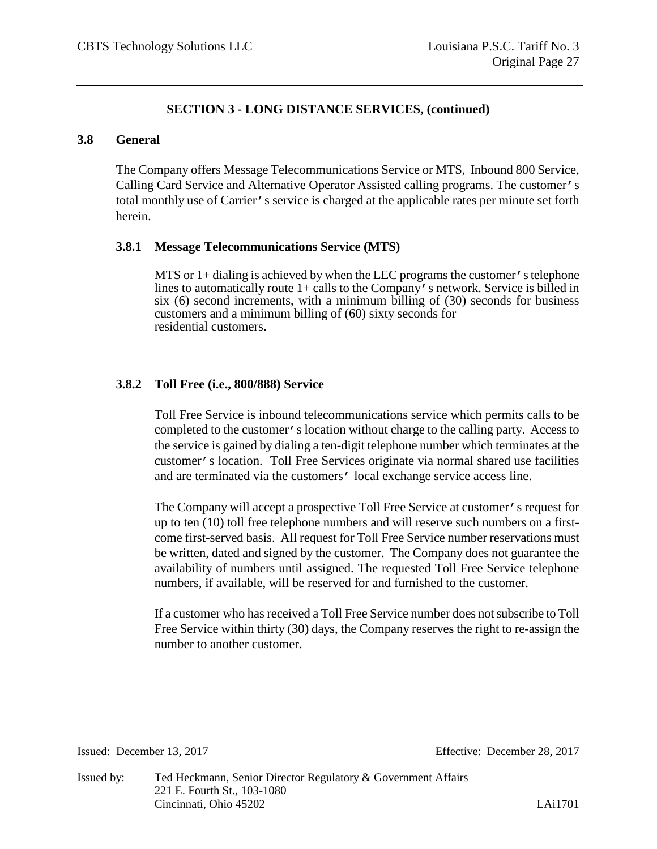## **3.8 General**

The Company offers Message Telecommunications Service or MTS, Inbound 800 Service, Calling Card Service and Alternative Operator Assisted calling programs. The customer's total monthly use of Carrier's service is charged at the applicable rates per minute set forth herein.

## **3.8.1 Message Telecommunications Service (MTS)**

MTS or  $1+$  dialing is achieved by when the LEC programs the customer' s telephone lines to automatically route 1+ calls to the Company's network. Service is billed in six (6) second increments, with a minimum billing of (30) seconds for business customers and a minimum billing of (60) sixty seconds for residential customers.

# **3.8.2 Toll Free (i.e., 800/888) Service**

Toll Free Service is inbound telecommunications service which permits calls to be completed to the customer's location without charge to the calling party. Access to the service is gained by dialing a ten-digit telephone number which terminates at the customer's location. Toll Free Services originate via normal shared use facilities and are terminated via the customers' local exchange service access line.

The Company will accept a prospective Toll Free Service at customer's request for up to ten (10) toll free telephone numbers and will reserve such numbers on a firstcome first-served basis. All request for Toll Free Service number reservations must be written, dated and signed by the customer. The Company does not guarantee the availability of numbers until assigned. The requested Toll Free Service telephone numbers, if available, will be reserved for and furnished to the customer.

If a customer who has received a Toll Free Service number does not subscribe to Toll Free Service within thirty (30) days, the Company reserves the right to re-assign the number to another customer.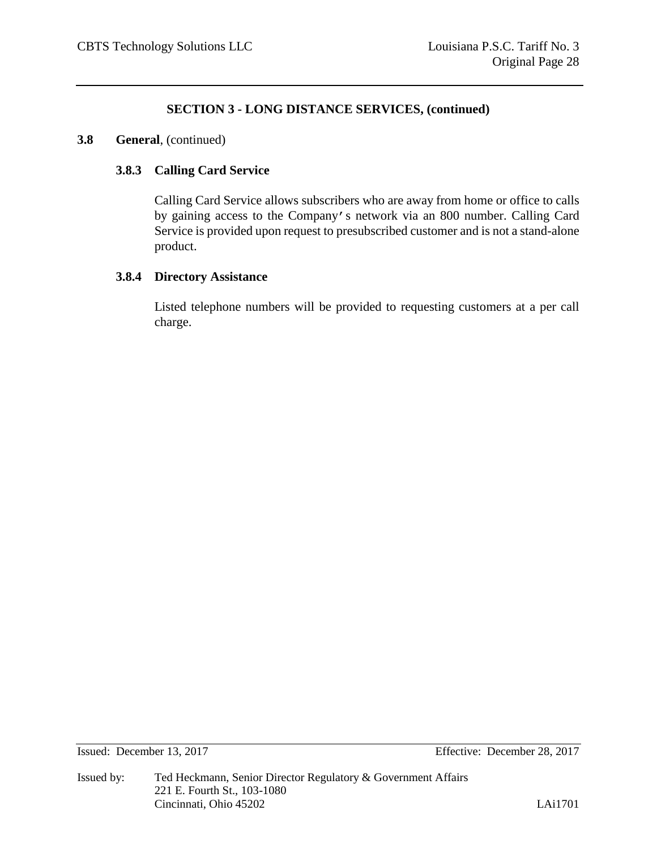#### **3.8 General**, (continued)

## **3.8.3 Calling Card Service**

Calling Card Service allows subscribers who are away from home or office to calls by gaining access to the Company's network via an 800 number. Calling Card Service is provided upon request to presubscribed customer and is not a stand-alone product.

## **3.8.4 Directory Assistance**

Listed telephone numbers will be provided to requesting customers at a per call charge.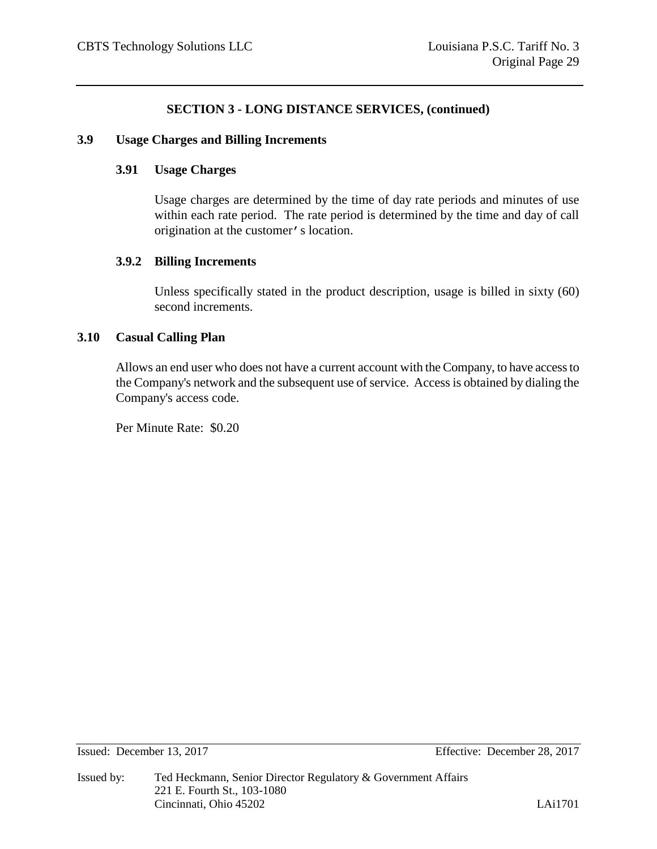#### **3.9 Usage Charges and Billing Increments**

#### **3.91 Usage Charges**

Usage charges are determined by the time of day rate periods and minutes of use within each rate period. The rate period is determined by the time and day of call origination at the customer's location.

#### **3.9.2 Billing Increments**

Unless specifically stated in the product description, usage is billed in sixty (60) second increments.

## **3.10 Casual Calling Plan**

Allows an end user who does not have a current account with the Company, to have access to the Company's network and the subsequent use of service. Access is obtained by dialing the Company's access code.

Per Minute Rate: \$0.20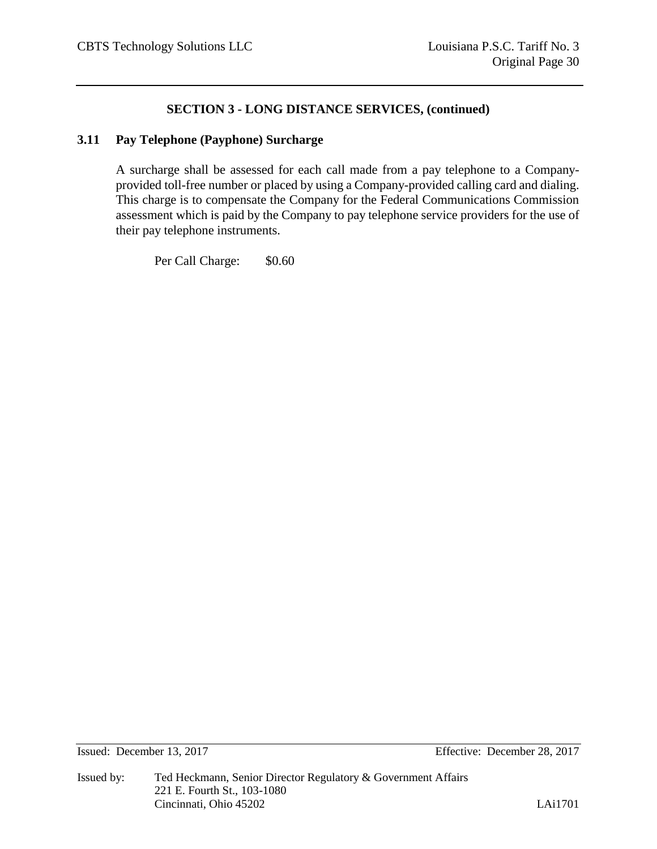## **3.11 Pay Telephone (Payphone) Surcharge**

A surcharge shall be assessed for each call made from a pay telephone to a Companyprovided toll-free number or placed by using a Company-provided calling card and dialing. This charge is to compensate the Company for the Federal Communications Commission assessment which is paid by the Company to pay telephone service providers for the use of their pay telephone instruments.

Per Call Charge: \$0.60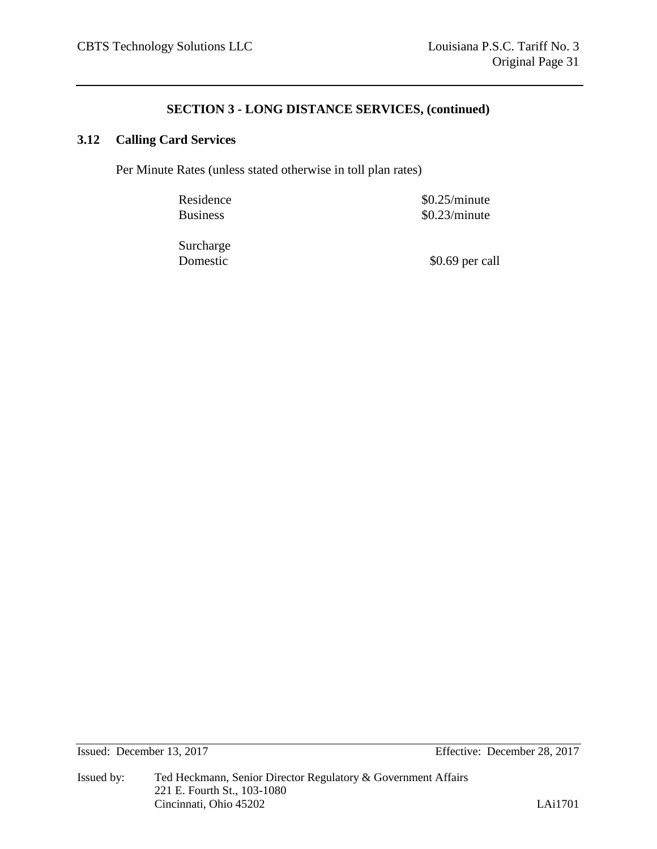# **3.12 Calling Card Services**

Per Minute Rates (unless stated otherwise in toll plan rates)

Residence \$0.25/minute Business \$0.23/minute

Surcharge

Domestic  $\$0.69$  per call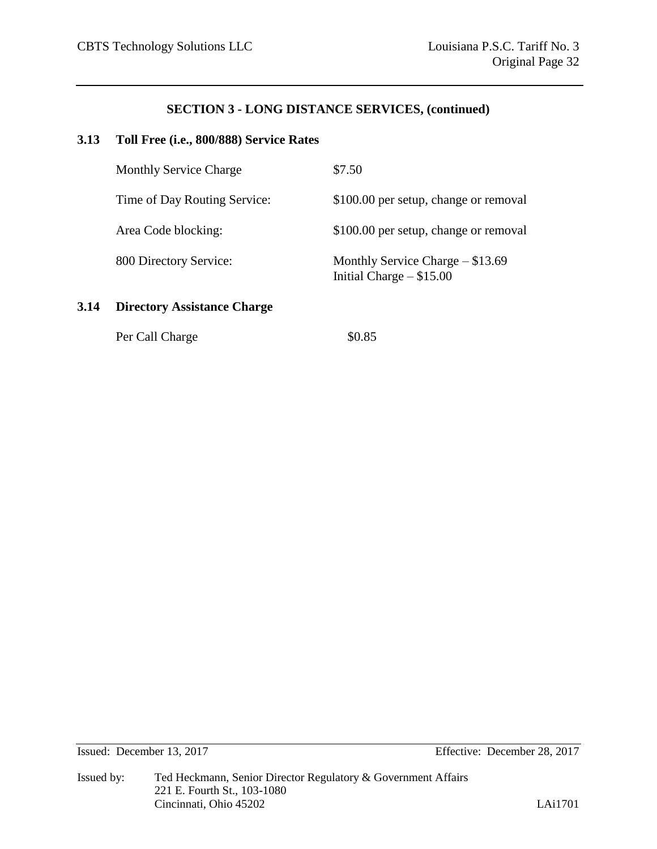## **3.13 Toll Free (i.e., 800/888) Service Rates**

| <b>Monthly Service Charge</b> | \$7.50                                                          |
|-------------------------------|-----------------------------------------------------------------|
| Time of Day Routing Service:  | \$100.00 per setup, change or removal                           |
| Area Code blocking:           | \$100.00 per setup, change or removal                           |
| 800 Directory Service:        | Monthly Service Charge $-$ \$13.69<br>Initial Charge $- $15.00$ |

# **3.14 Directory Assistance Charge**

Per Call Charge  $\$0.85$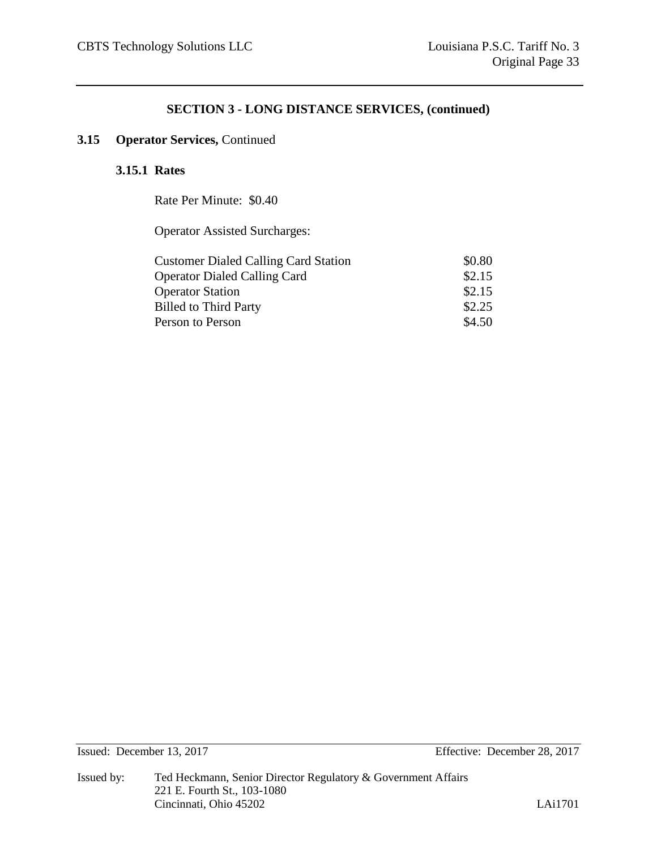# **3.15 Operator Services,** Continued

## **3.15.1 Rates**

Rate Per Minute: \$0.40

Operator Assisted Surcharges:

| \$0.80 |
|--------|
| \$2.15 |
| \$2.15 |
| \$2.25 |
| \$4.50 |
|        |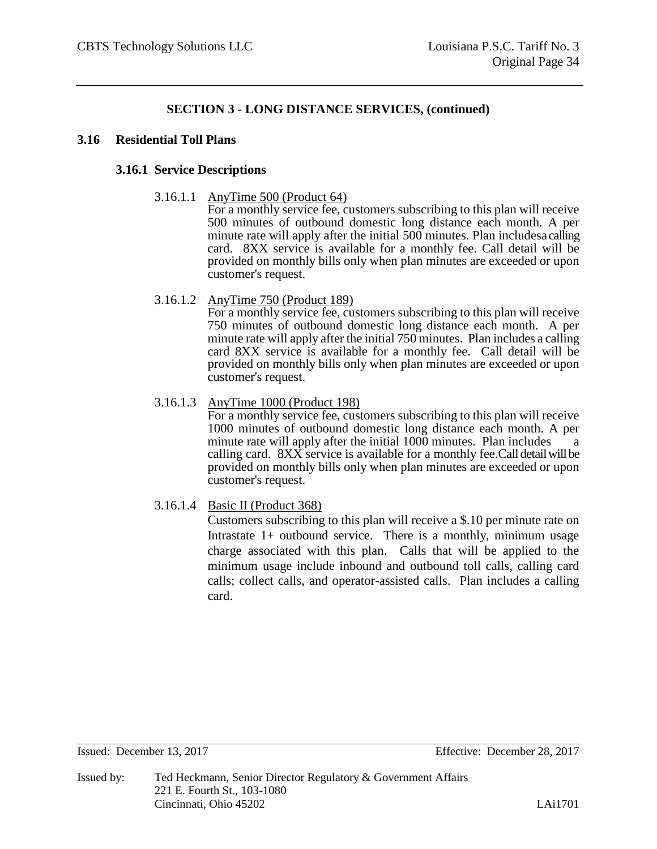#### **3.16 Residential Toll Plans**

#### **3.16.1 Service Descriptions**

3.16.1.1 AnyTime 500 (Product 64)

For a monthly service fee, customers subscribing to this plan will receive 500 minutes of outbound domestic long distance each month. A per minute rate will apply after the initial 500 minutes. Plan includesa calling card. 8XX service is available for a monthly fee. Call detail will be provided on monthly bills only when plan minutes are exceeded or upon customer's request.

## 3.16.1.2 AnyTime 750 (Product 189)

For a monthly service fee, customers subscribing to this plan will receive 750 minutes of outbound domestic long distance each month. A per minute rate will apply after the initial 750 minutes. Plan includes a calling card 8XX service is available for a monthly fee. Call detail will be provided on monthly bills only when plan minutes are exceeded or upon customer's request.

#### 3.16.1.3 AnyTime 1000 (Product 198)

For a monthly service fee, customers subscribing to this plan will receive 1000 minutes of outbound domestic long distance each month. A per minute rate will apply after the initial  $1000$  minutes. Plan includes  $\overline{\phantom{a}}$  a calling card.  $8X\overline{X}$  service is available for a monthly fee. Call detail will be provided on monthly bills only when plan minutes are exceeded or upon customer's request.

## 3.16.1.4 Basic II (Product 368)

Customers subscribing to this plan will receive a \$.10 per minute rate on Intrastate  $1+$  outbound service. There is a monthly, minimum usage charge associated with this plan. Calls that will be applied to the minimum usage include inbound and outbound toll calls, calling card calls; collect calls, and operator-assisted calls. Plan includes a calling card.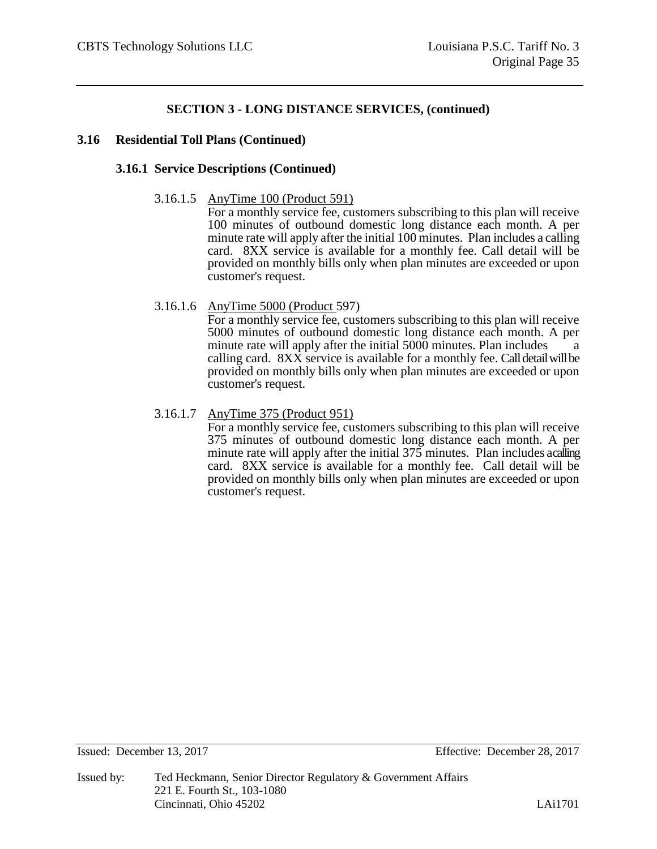#### **3.16 Residential Toll Plans (Continued)**

#### **3.16.1 Service Descriptions (Continued)**

3.16.1.5 AnyTime 100 (Product 591)

For a monthly service fee, customers subscribing to this plan will receive 100 minutes of outbound domestic long distance each month. A per minute rate will apply after the initial 100 minutes. Plan includes a calling card. 8XX service is available for a monthly fee. Call detail will be provided on monthly bills only when plan minutes are exceeded or upon customer's request.

3.16.1.6 AnyTime 5000 (Product 597)

For a monthly service fee, customers subscribing to this plan will receive 5000 minutes of outbound domestic long distance each month. A per minute rate will apply after the initial 5000 minutes. Plan includes a calling card. 8XX service is available for a monthly fee. Call detail will be provided on monthly bills only when plan minutes are exceeded or upon customer's request.

3.16.1.7 AnyTime 375 (Product 951)

For a monthly service fee, customers subscribing to this plan will receive 375 minutes of outbound domestic long distance each month. A per minute rate will apply after the initial 375 minutes. Plan includes acalling card. 8XX service is available for a monthly fee. Call detail will be provided on monthly bills only when plan minutes are exceeded or upon customer's request.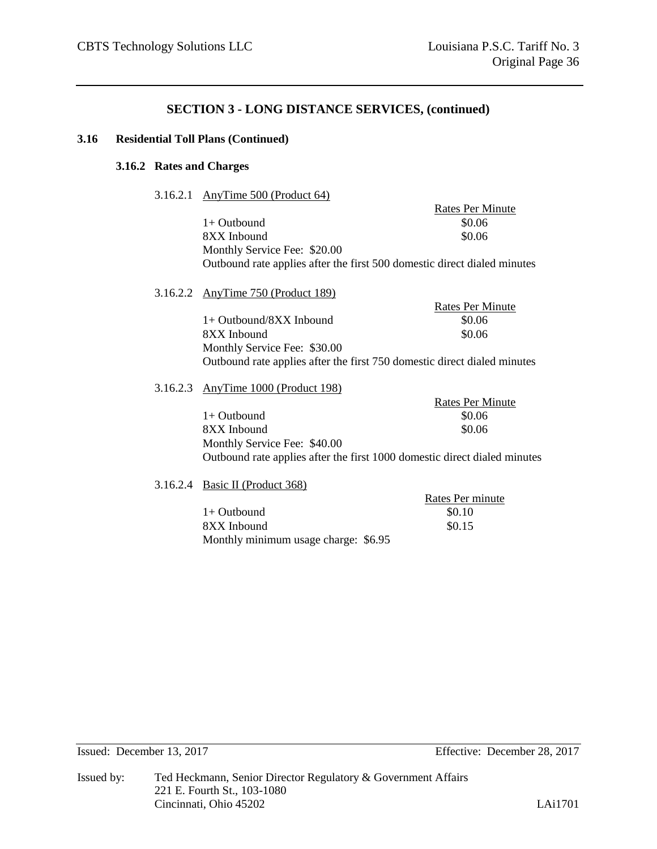#### **3.16 Residential Toll Plans (Continued)**

#### **3.16.2 Rates and Charges**

3.16.2.1 AnyTime 500 (Product 64)

|                                                                          | <b>Rates Per Minute</b> |
|--------------------------------------------------------------------------|-------------------------|
| $1+$ Outbound                                                            | \$0.06                  |
| 8XX Inbound                                                              | \$0.06                  |
| Monthly Service Fee: \$20.00                                             |                         |
| Outbound rate applies after the first 500 domestic direct dialed minutes |                         |
|                                                                          |                         |

| 3.16.2.2 AnyTime 750 (Product 189)                                       |                         |
|--------------------------------------------------------------------------|-------------------------|
|                                                                          | <b>Rates Per Minute</b> |
| $1+$ Outbound/8XX Inbound                                                | \$0.06                  |
| 8XX Inbound                                                              | \$0.06                  |
| Monthly Service Fee: \$30.00                                             |                         |
| Outbound rate applies after the first 750 domestic direct dialed minutes |                         |
|                                                                          |                         |

#### 3.16.2.3 AnyTime 1000 (Product 198)

Rates Per Minute  $1+$  Outbound  $$0.06$ 8XX Inbound \$0.06 Monthly Service Fee: \$40.00 Outbound rate applies after the first 1000 domestic direct dialed minutes

3.16.2.4 Basic II (Product 368)

|                                      | Rates Per minute |
|--------------------------------------|------------------|
| $1+$ Outbound                        | \$0.10           |
| 8XX Inbound                          | \$0.15           |
| Monthly minimum usage charge: \$6.95 |                  |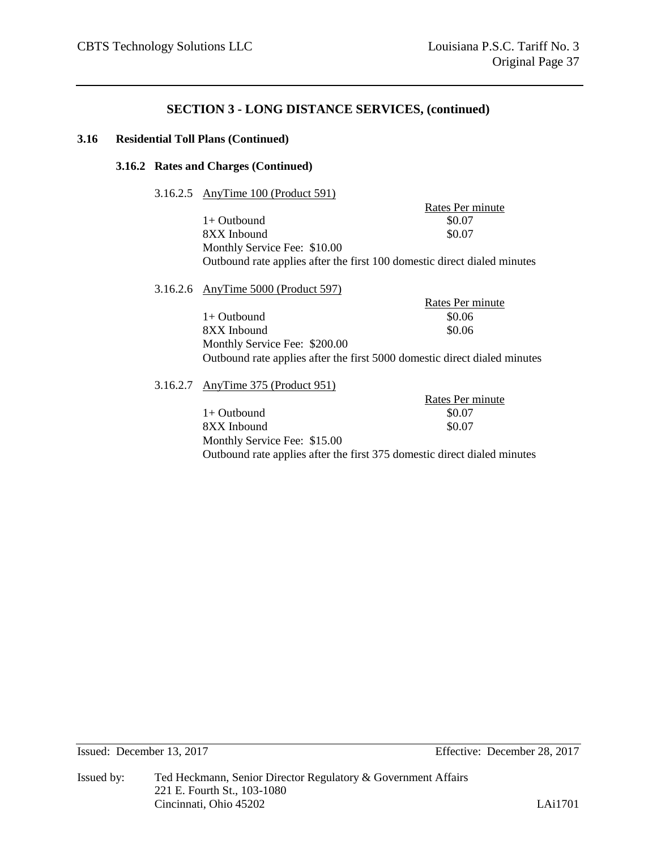#### **3.16 Residential Toll Plans (Continued)**

#### **3.16.2 Rates and Charges (Continued)**

3.16.2.5 AnyTime 100 (Product 591)

|                                                                          | Rates Per minute |
|--------------------------------------------------------------------------|------------------|
| $1+$ Outbound                                                            | \$0.07           |
| 8XX Inbound                                                              | \$0.07           |
| Monthly Service Fee: \$10.00                                             |                  |
| Outbound rate applies after the first 100 domestic direct dialed minutes |                  |

| 3.16.2.6 AnyTime 5000 (Product 597)                                       |                  |  |  |
|---------------------------------------------------------------------------|------------------|--|--|
|                                                                           | Rates Per minute |  |  |
| $1+$ Outbound                                                             | \$0.06           |  |  |
| 8XX Inbound                                                               | \$0.06           |  |  |
| Monthly Service Fee: \$200.00                                             |                  |  |  |
| Outbound rate applies after the first 5000 domestic direct dialed minutes |                  |  |  |
|                                                                           |                  |  |  |

3.16.2.7 AnyTime 375 (Product 951)

Rates Per minute  $1+$  Outbound  $$0.07$ 8XX Inbound \$0.07 Monthly Service Fee: \$15.00 Outbound rate applies after the first 375 domestic direct dialed minutes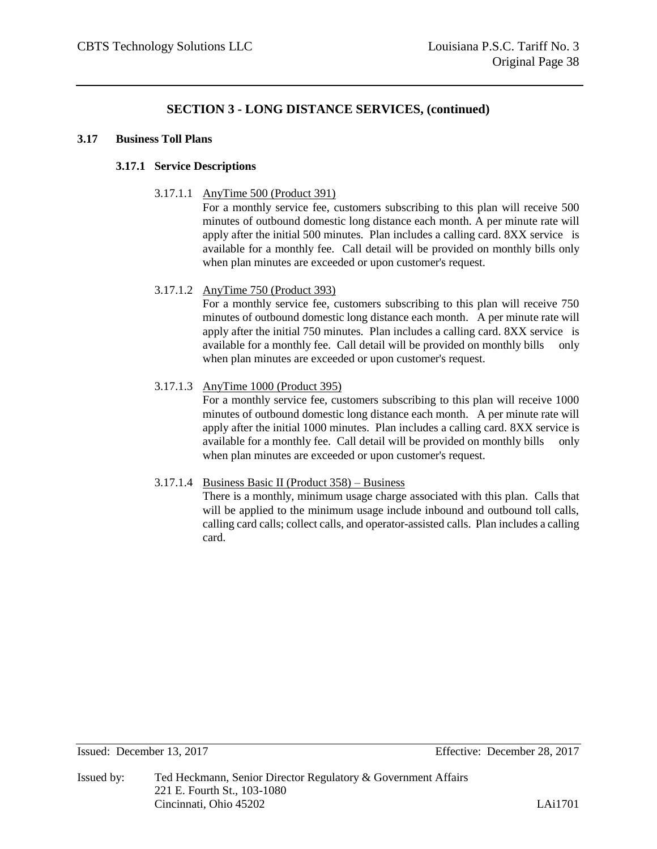#### **3.17 Business Toll Plans**

#### **3.17.1 Service Descriptions**

#### 3.17.1.1 AnyTime 500 (Product 391)

For a monthly service fee, customers subscribing to this plan will receive 500 minutes of outbound domestic long distance each month. A per minute rate will apply after the initial 500 minutes. Plan includes a calling card. 8XX service is available for a monthly fee. Call detail will be provided on monthly bills only when plan minutes are exceeded or upon customer's request.

#### 3.17.1.2 AnyTime 750 (Product 393)

For a monthly service fee, customers subscribing to this plan will receive 750 minutes of outbound domestic long distance each month. A per minute rate will apply after the initial 750 minutes. Plan includes a calling card. 8XX service is available for a monthly fee. Call detail will be provided on monthly bills only when plan minutes are exceeded or upon customer's request.

#### 3.17.1.3 AnyTime 1000 (Product 395)

For a monthly service fee, customers subscribing to this plan will receive 1000 minutes of outbound domestic long distance each month. A per minute rate will apply after the initial 1000 minutes. Plan includes a calling card. 8XX service is available for a monthly fee. Call detail will be provided on monthly bills only when plan minutes are exceeded or upon customer's request.

#### 3.17.1.4 Business Basic II (Product 358) – Business

There is a monthly, minimum usage charge associated with this plan. Calls that will be applied to the minimum usage include inbound and outbound toll calls, calling card calls; collect calls, and operator-assisted calls. Plan includes a calling card.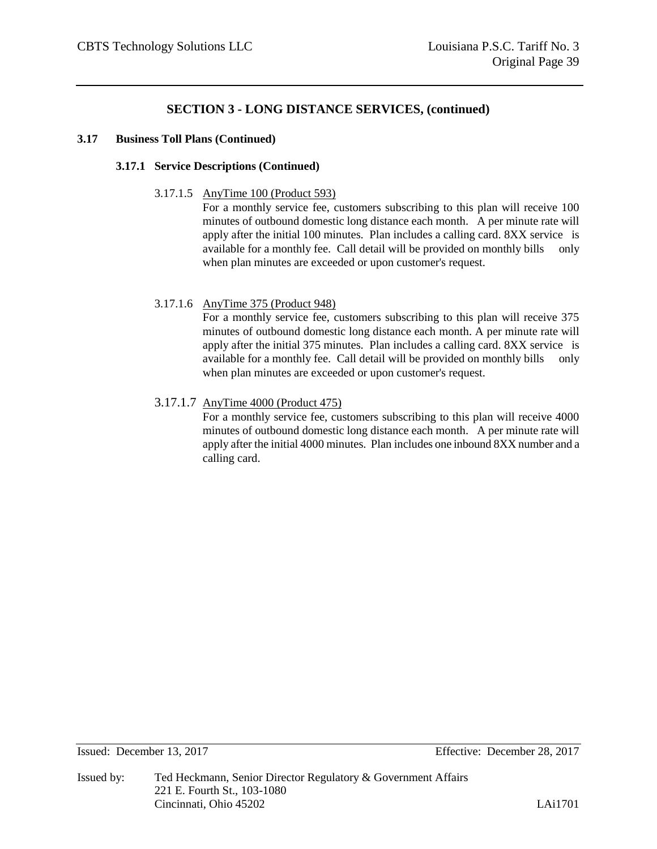#### **3.17 Business Toll Plans (Continued)**

#### **3.17.1 Service Descriptions (Continued)**

#### 3.17.1.5 AnyTime 100 (Product 593)

For a monthly service fee, customers subscribing to this plan will receive 100 minutes of outbound domestic long distance each month. A per minute rate will apply after the initial 100 minutes. Plan includes a calling card. 8XX service is available for a monthly fee. Call detail will be provided on monthly bills only when plan minutes are exceeded or upon customer's request.

#### 3.17.1.6 AnyTime 375 (Product 948)

For a monthly service fee, customers subscribing to this plan will receive 375 minutes of outbound domestic long distance each month. A per minute rate will apply after the initial 375 minutes. Plan includes a calling card. 8XX service is available for a monthly fee. Call detail will be provided on monthly bills only when plan minutes are exceeded or upon customer's request.

#### 3.17.1.7 AnyTime 4000 (Product 475)

For a monthly service fee, customers subscribing to this plan will receive 4000 minutes of outbound domestic long distance each month. A per minute rate will apply after the initial 4000 minutes. Plan includes one inbound 8XX number and a calling card.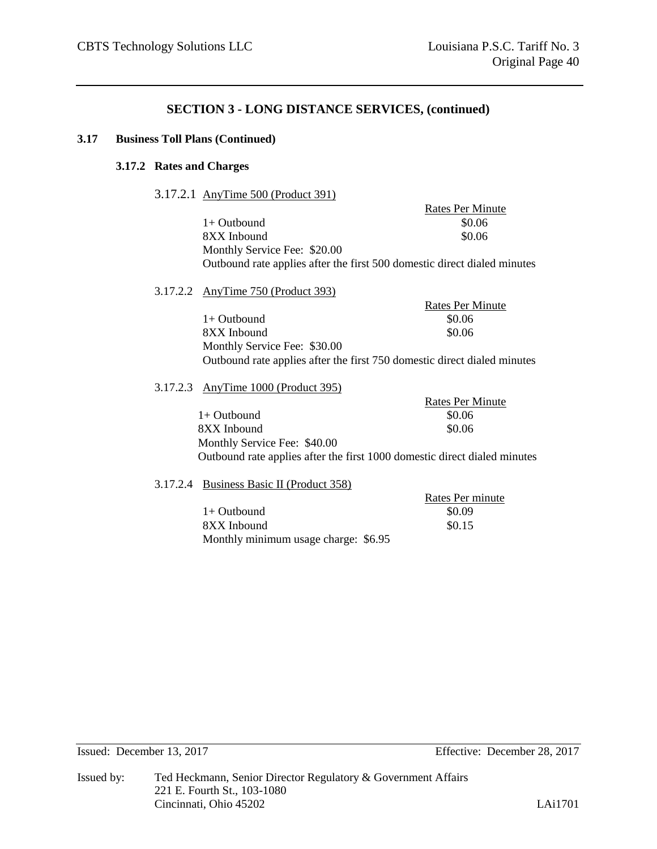#### **3.17 Business Toll Plans (Continued)**

#### **3.17.2 Rates and Charges**

3.17.2.1 AnyTime 500 (Product 391)

|                                                                          | <b>Rates Per Minute</b> |
|--------------------------------------------------------------------------|-------------------------|
| $1+$ Outbound                                                            | \$0.06                  |
| 8XX Inbound                                                              | \$0.06                  |
| Monthly Service Fee: \$20.00                                             |                         |
| Outbound rate applies after the first 500 domestic direct dialed minutes |                         |

3.17.2.2 AnyTime 750 (Product 393)

|                                                                          | <b>Rates Per Minute</b> |
|--------------------------------------------------------------------------|-------------------------|
| $1+$ Outbound                                                            | \$0.06                  |
| 8XX Inbound                                                              | \$0.06                  |
| Monthly Service Fee: \$30.00                                             |                         |
| Outbound rate applies after the first 750 domestic direct dialed minutes |                         |

#### 3.17.2.3 AnyTime 1000 (Product 395)

Rates Per Minute  $1+$  Outbound  $$0.06$ 8XX Inbound \$0.06 Monthly Service Fee: \$40.00 Outbound rate applies after the first 1000 domestic direct dialed minutes

#### 3.17.2.4 Business Basic II (Product 358)

|               |                                      | Rates Per minute |
|---------------|--------------------------------------|------------------|
| $1+$ Outbound |                                      | \$0.09           |
| 8XX Inbound   |                                      | \$0.15           |
|               | Monthly minimum usage charge: \$6.95 |                  |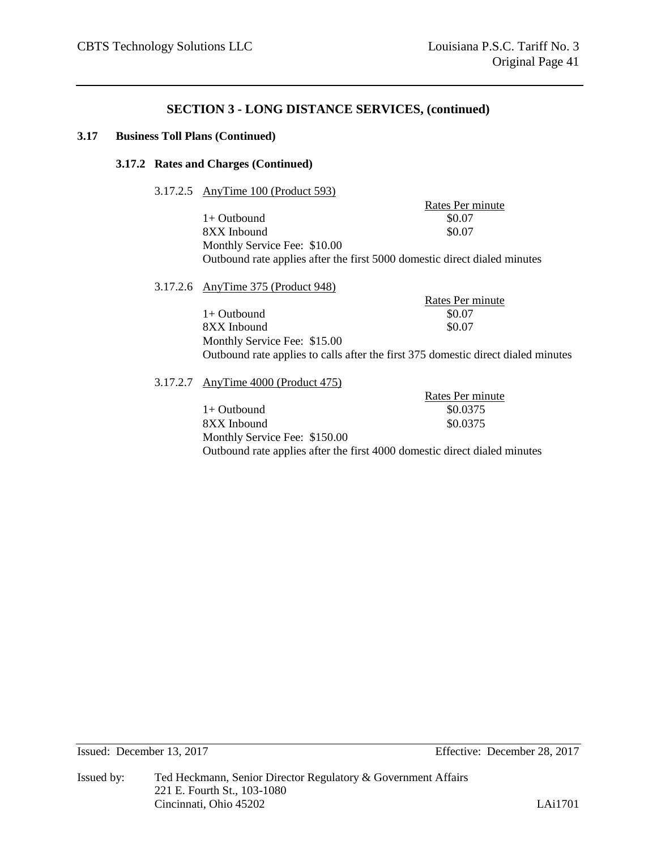#### **3.17 Business Toll Plans (Continued)**

#### **3.17.2 Rates and Charges (Continued)**

3.17.2.5 AnyTime 100 (Product 593)

Rates Per minute  $1+$  Outbound  $$0.07$ 8XX Inbound  $$0.07$ Monthly Service Fee: \$10.00 Outbound rate applies after the first 5000 domestic direct dialed minutes

3.17.2.6 AnyTime 375 (Product 948)

Rates Per minute  $1+$  Outbound  $$0.07$ 8XX Inbound \$0.07 Monthly Service Fee: \$15.00 Outbound rate applies to calls after the first 375 domestic direct dialed minutes

3.17.2.7 AnyTime 4000 (Product 475)

Rates Per minute 1+ Outbound \$0.0375 8XX Inbound \$0.0375 Monthly Service Fee: \$150.00 Outbound rate applies after the first 4000 domestic direct dialed minutes